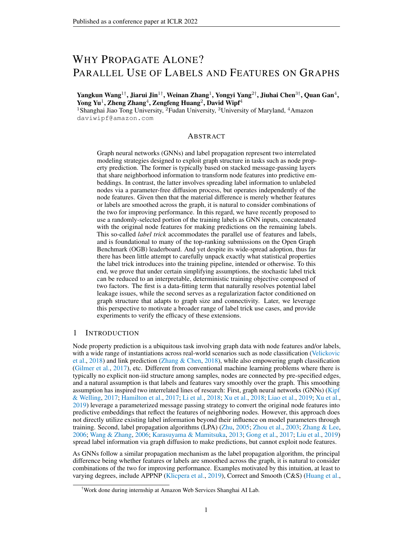# <span id="page-0-0"></span>WHY PROPAGATE ALONE? PARALLEL USE OF LABELS AND FEATURES ON GRAPHS

Yangkun Wang $^{1\dagger}$ , Jiarui Jin $^{1\dagger}$ , Weinan Zhang $^{1}$ , Yongyi Yang $^{2\dagger}$ , Jiuhai Chen $^{3\dagger}$ , Quan Gan $^{4}$ , Yong Yu<sup>1</sup>, Zheng Zhang<sup>4</sup>, Zengfeng Huang<sup>2</sup>, David Wipf<sup>4</sup>

<sup>1</sup>Shanghai Jiao Tong University, <sup>2</sup>Fudan University, <sup>3</sup>University of Maryland, <sup>4</sup>Amazon daviwipf@amazon.com

# ABSTRACT

Graph neural networks (GNNs) and label propagation represent two interrelated modeling strategies designed to exploit graph structure in tasks such as node property prediction. The former is typically based on stacked message-passing layers that share neighborhood information to transform node features into predictive embeddings. In contrast, the latter involves spreading label information to unlabeled nodes via a parameter-free diffusion process, but operates independently of the node features. Given then that the material difference is merely whether features or labels are smoothed across the graph, it is natural to consider combinations of the two for improving performance. In this regard, we have recently proposed to use a randomly-selected portion of the training labels as GNN inputs, concatenated with the original node features for making predictions on the remaining labels. This so-called *label trick* accommodates the parallel use of features and labels, and is foundational to many of the top-ranking submissions on the Open Graph Benchmark (OGB) leaderboard. And yet despite its wide-spread adoption, thus far there has been little attempt to carefully unpack exactly what statistical properties the label trick introduces into the training pipeline, intended or otherwise. To this end, we prove that under certain simplifying assumptions, the stochastic label trick can be reduced to an interpretable, deterministic training objective composed of two factors. The first is a data-fitting term that naturally resolves potential label leakage issues, while the second serves as a regularization factor conditioned on graph structure that adapts to graph size and connectivity. Later, we leverage this perspective to motivate a broader range of label trick use cases, and provide experiments to verify the efficacy of these extensions.

# 1 INTRODUCTION

Node property prediction is a ubiquitous task involving graph data with node features and/or labels, with a wide range of instantiations across real-world scenarios such as node classification [\(Velickovic](#page-10-0) [et al.,](#page-10-0) [2018\)](#page-10-0) and link prediction [\(Zhang & Chen,](#page-10-1) [2018\)](#page-10-1), while also empowering graph classification [\(Gilmer et al.,](#page-9-0) [2017\)](#page-9-0), etc. Different from conventional machine learning problems where there is typically no explicit non-iid structure among samples, nodes are connected by pre-specified edges, and a natural assumption is that labels and features vary smoothly over the graph. This smoothing assumption has inspired two interrelated lines of research: First, graph neural networks (GNNs) [\(Kipf](#page-9-1) [& Welling,](#page-9-1) [2017;](#page-9-1) [Hamilton et al.,](#page-9-2) [2017;](#page-9-2) [Li et al.,](#page-9-3) [2018;](#page-9-3) [Xu et al.,](#page-10-2) [2018;](#page-10-2) [Liao et al.,](#page-10-3) [2019;](#page-10-3) [Xu et al.,](#page-10-4) [2019\)](#page-10-4) leverage a parameterized message passing strategy to convert the original node features into predictive embeddings that reflect the features of neighboring nodes. However, this approach does not directly utilize existing label information beyond their influence on model parameters through training. Second, label propagation algorithms (LPA) [\(Zhu,](#page-10-5) [2005;](#page-10-5) [Zhou et al.,](#page-10-6) [2003;](#page-10-6) [Zhang & Lee,](#page-10-7) [2006;](#page-10-7) [Wang & Zhang,](#page-10-8) [2006;](#page-10-8) [Karasuyama & Mamitsuka,](#page-9-4) [2013;](#page-9-4) [Gong et al.,](#page-9-5) [2017;](#page-9-5) [Liu et al.,](#page-10-9) [2019\)](#page-10-9) spread label information via graph diffusion to make predictions, but cannot exploit node features.

As GNNs follow a similar propagation mechanism as the label propagation algorithm, the principal difference being whether features or labels are smoothed across the graph, it is natural to consider combinations of the two for improving performance. Examples motivated by this intuition, at least to varying degrees, include APPNP [\(Klicpera et al.,](#page-9-6) [2019\)](#page-9-6), Correct and Smooth (C&S) [\(Huang et al.,](#page-9-7)

<sup>†</sup>Work done during internship at Amazon Web Services Shanghai AI Lab.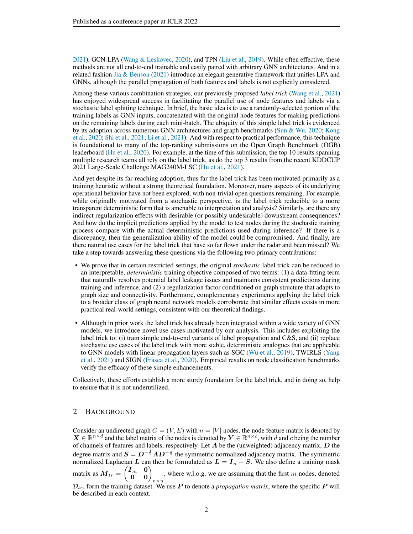<span id="page-1-0"></span>[2021\)](#page-9-7), GCN-LPA [\(Wang & Leskovec,](#page-10-10) [2020\)](#page-10-10), and TPN [\(Liu et al.,](#page-10-9) [2019\)](#page-10-9). While often effective, these methods are not all end-to-end trainable and easily paired with arbitrary GNN architectures. And in a related fashion [Jia & Benson](#page-9-8) [\(2021\)](#page-9-8) introduce an elegant generative framework that unifies LPA and GNNs, although the parallel propagation of both features and labels is not explicitly considered.

Among these various combination strategies, our previously proposed *label trick* [\(Wang et al.,](#page-10-11) [2021\)](#page-10-11) has enjoyed widespread success in facilitating the parallel use of node features and labels via a stochastic label splitting technique. In brief, the basic idea is to use a randomly-selected portion of the training labels as GNN inputs, concatenated with the original node features for making predictions on the remaining labels during each mini-batch. The ubiquity of this simple label trick is evidenced by its adoption across numerous GNN architectures and graph benchmarks [\(Sun & Wu,](#page-10-12) [2020;](#page-10-12) [Kong](#page-9-9) [et al.,](#page-9-9) [2020;](#page-9-9) [Shi et al.,](#page-10-13) [2021;](#page-10-13) [Li et al.,](#page-9-10) [2021\)](#page-9-10). And with respect to practical performance, this technique is foundational to many of the top-ranking submissions on the Open Graph Benchmark (OGB) leaderboard [\(Hu et al.,](#page-9-11) [2020\)](#page-9-11). For example, at the time of this submission, the top 10 results spanning multiple research teams all rely on the label trick, as do the top 3 results from the recent KDDCUP 2021 Large-Scale Challenge MAG240M-LSC [\(Hu et al.,](#page-9-12) [2021\)](#page-9-12).

And yet despite its far-reaching adoption, thus far the label trick has been motivated primarily as a training heuristic without a strong theoretical foundation. Moreover, many aspects of its underlying operational behavior have not been explored, with non-trivial open questions remaining. For example, while originally motivated from a stochastic perspective, is the label trick reducible to a more transparent deterministic form that is amenable to interpretation and analysis? Similarly, are there any indirect regularization effects with desirable (or possibly undesirable) downstream consequences? And how do the implicit predictions applied by the model to test nodes during the stochastic training process compare with the actual deterministic predictions used during inference? If there is a discrepancy, then the generalization ability of the model could be compromised. And finally, are there natural use cases for the label trick that have so far flown under the radar and been missed? We take a step towards answering these questions via the following two primary contributions:

- We prove that in certain restricted settings, the original *stochastic* label trick can be reduced to an interpretable, *deterministic* training objective composed of two terms: (1) a data-fitting term that naturally resolves potential label leakage issues and maintains consistent predictions during training and inference, and (2) a regularization factor conditioned on graph structure that adapts to graph size and connectivity. Furthermore, complementary experiments applying the label trick to a broader class of graph neural network models corroborate that similar effects exists in more practical real-world settings, consistent with our theoretical findings.
- Although in prior work the label trick has already been integrated within a wide variety of GNN models, we introduce novel use-cases motivated by our analysis. This includes exploiting the label trick to: (i) train simple end-to-end variants of label propagation and C&S, and (ii) replace stochastic use cases of the label trick with more stable, deterministic analogues that are applicable to GNN models with linear propagation layers such as SGC [\(Wu et al.,](#page-10-14) [2019\)](#page-10-14), TWIRLS [\(Yang](#page-10-15) [et al.,](#page-10-15) [2021\)](#page-10-15) and SIGN [\(Frasca et al.,](#page-9-13) [2020\)](#page-9-13). Empirical results on node classification benchmarks verify the efficacy of these simple enhancements.

Collectively, these efforts establish a more sturdy foundation for the label trick, and in doing so, help to ensure that it is not underutilized.

# 2 BACKGROUND

Consider an undirected graph  $G = (V, E)$  with  $n = |V|$  nodes, the node feature matrix is denoted by  $X \in \mathbb{R}^{n \times d}$  and the label matrix of the nodes is denoted by  $Y \in \mathbb{R}^{n \times c}$ , with d and c being the number of channels of features and labels, respectively. Let  $A$  be the (unweighted) adjacency matrix,  $D$  the degree matrix and  $S = D^{-\frac{1}{2}}AD^{-\frac{1}{2}}$  the symmetric normalized adjacency matrix. The symmetric normalized Laplacian L can then be formulated as  $L = I_n - S$ . We also define a training mask matrix as  $\bm{M}_{tr} = \begin{pmatrix} \bm{I}_m & \bm{0} \\ \bm{0} & \bm{0} \end{pmatrix}_{n \times n}$ , where w.l.o.g. we are assuming that the first  $m$  nodes, denoted  $\mathcal{D}_{tr}$ , form the training dataset. We use P to denote a *propagation matrix*, where the specific P will be described in each context.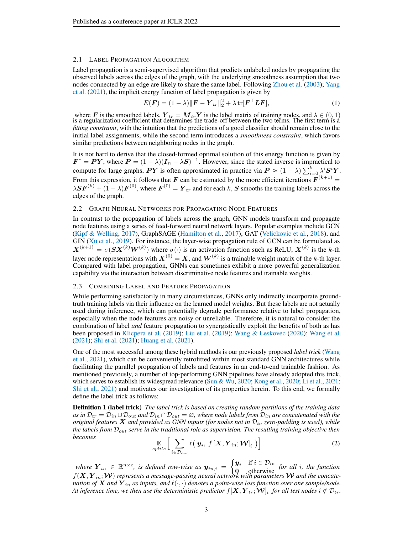#### <span id="page-2-2"></span><span id="page-2-1"></span>2.1 LABEL PROPAGATION ALGORITHM

Label propagation is a semi-supervised algorithm that predicts unlabeled nodes by propagating the observed labels across the edges of the graph, with the underlying smoothness assumption that two nodes connected by an edge are likely to share the same label. Following [Zhou et al.](#page-10-6) [\(2003\)](#page-10-6); [Yang](#page-10-15) [et al.](#page-10-15) [\(2021\)](#page-10-15), the implicit energy function of label propagation is given by

<span id="page-2-3"></span>
$$
E(\boldsymbol{F}) = (1 - \lambda) \|\boldsymbol{F} - \boldsymbol{Y}_{tr}\|_2^2 + \lambda \operatorname{tr}[\boldsymbol{F}^\top \boldsymbol{L} \boldsymbol{F}], \tag{1}
$$

where F is the smoothed labels,  $Y_{tr} = M_{tr}Y$  is the label matrix of training nodes, and  $\lambda \in (0, 1)$ is a regularization coefficient that determines the trade-off between the two terms. The first term is a *fitting constraint*, with the intuition that the predictions of a good classifier should remain close to the initial label assignments, while the second term introduces a *smoothness constraint*, which favors similar predictions between neighboring nodes in the graph.

It is not hard to derive that the closed-formed optimal solution of this energy function is given by  $\mathbf{F}^* = \mathbf{P}\mathbf{Y}$ , where  $\mathbf{P} = (1 - \lambda)(\mathbf{I}_n - \lambda \mathbf{S})^{-1}$ . However, since the stated inverse is impractical to compute for large graphs,  $PY$  is often approximated in practice via  $P \approx (1 - \lambda) \sum_{i=0}^{k} \lambda^{i} S^{i} Y$ . From this expression, it follows that F can be estimated by the more efficient iterations  $F^{(k+1)}$  =  $\lambda \mathbf{S} \mathbf{F}^{(k)} + (1 - \lambda) \mathbf{F}^{(0)}$ , where  $\mathbf{F}^{(0)} = \mathbf{Y}_{tr}$  and for each k, S smooths the training labels across the edges of the graph.

### 2.2 GRAPH NEURAL NETWORKS FOR PROPAGATING NODE FEATURES

In contrast to the propagation of labels across the graph, GNN models transform and propagate node features using a series of feed-forward neural network layers. Popular examples include GCN [\(Kipf & Welling,](#page-9-1) [2017\)](#page-9-1), GraphSAGE [\(Hamilton et al.,](#page-9-2) [2017\)](#page-9-2), GAT [\(Velickovic et al.,](#page-10-0) [2018\)](#page-10-0), and GIN [\(Xu et al.,](#page-10-4) [2019\)](#page-10-4). For instance, the layer-wise propagation rule of GCN can be formulated as  $X^{(k+1)} = \sigma(SX^{(k)}W^{(k)})$  where  $\sigma(\cdot)$  is an activation function such as ReLU,  $X^{(k)}$  is the k-th layer node representations with  $X^{(0)} = X$ , and  $W^{(k)}$  is a trainable weight matrix of the k-th layer. Compared with label propagation, GNNs can sometimes exhibit a more powerful generalization capability via the interaction between discriminative node features and trainable weights.

#### 2.3 COMBINING LABEL AND FEATURE PROPAGATION

While performing satisfactorily in many circumstances, GNNs only indirectly incorporate groundtruth training labels via their influence on the learned model weights. But these labels are not actually used during inference, which can potentially degrade performance relative to label propagation, especially when the node features are noisy or unreliable. Therefore, it is natural to consider the combination of label *and* feature propagation to synergistically exploit the benefits of both as has been proposed in [Klicpera et al.](#page-9-6) [\(2019\)](#page-9-6); [Liu et al.](#page-10-9) [\(2019\)](#page-10-9); [Wang & Leskovec](#page-10-10) [\(2020\)](#page-10-10); [Wang et al.](#page-10-11) [\(2021\)](#page-10-11); [Shi et al.](#page-10-13) [\(2021\)](#page-10-13); [Huang et al.](#page-9-7) [\(2021\)](#page-9-7).

One of the most successful among these hybrid methods is our previously proposed *label trick* [\(Wang](#page-10-11) [et al.,](#page-10-11) [2021\)](#page-10-11), which can be conveniently retrofitted within most standard GNN architectures while facilitating the parallel propagation of labels and features in an end-to-end trainable fashion. As mentioned previously, a number of top-performing GNN pipelines have already adopted this trick, which serves to establish its widespread relevance [\(Sun & Wu,](#page-10-12) [2020;](#page-10-12) [Kong et al.,](#page-9-9) [2020;](#page-9-9) [Li et al.,](#page-9-10) [2021;](#page-9-10) [Shi et al.,](#page-10-13) [2021\)](#page-10-13) and motivates our investigation of its properties herein. To this end, we formally define the label trick as follows:

Definition 1 (label trick) *The label trick is based on creating random partitions of the training data* as in  $\mathcal{D}_{tr} = \mathcal{D}_{in} \cup \mathcal{D}_{out}$  and  $\mathcal{D}_{in} \cap \mathcal{D}_{out} = \emptyset$ , where node labels from  $\mathcal{D}_{in}$  are concatenated with the *original features* X *and provided as GNN inputs (for nodes not in* Din *zero-padding is used), while the labels from* Dout *serve in the traditional role as supervision. The resulting training objective then becomes*

<span id="page-2-0"></span>
$$
\mathop{\mathbb{E}}_{\text{splits}}\Big[\sum_{i\in\mathcal{D}_{out}}\ell\big(\mathbf{y}_i,\,f\left[\mathbf{X},\mathbf{Y}_{in};\mathbf{\mathcal{W}}\right]_i\big)\Big] \tag{2}
$$

where  $\mathbf{Y}_{in} \in \mathbb{R}^{n \times c}$ , is defined row-wise as  $\mathbf{y}_{in,i} = \begin{cases} \mathbf{y}_i & \text{if } i \in \mathcal{D}_{in} \\ \mathbf{0} & \text{otherwise} \end{cases}$  for all i, the function  $f(\mathbf{X}, \mathbf{Y}_{in}; \mathbf{W})$  represents a message-passing neural network with parameter *nation of* X and  $\hat{Y}_{in}$  as inputs, and  $\ell(\cdot, \cdot)$  denotes a point-wise loss function over one sample/node. At inference time, we then use the deterministic predictor  $f[\bm{X},\bm{Y}_{tr};\bm{\mathcal{W}}]_i$  for all test nodes  $i \notin \mathcal{D}_{tr}.$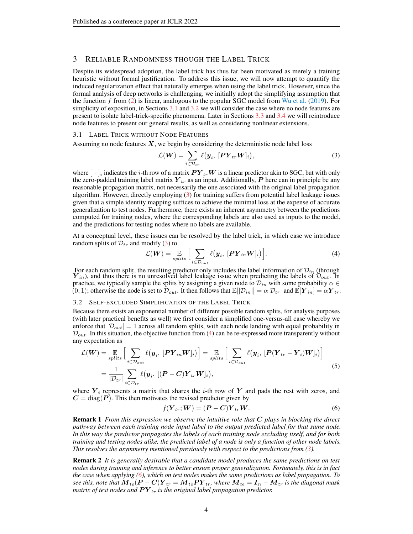# <span id="page-3-8"></span><span id="page-3-7"></span>3 RELIABLE RANDOMNESS THOUGH THE LABEL TRICK

Despite its widespread adoption, the label trick has thus far been motivated as merely a training heuristic without formal justification. To address this issue, we will now attempt to quantify the induced regularization effect that naturally emerges when using the label trick. However, since the formal analysis of deep networks is challenging, we initially adopt the simplifying assumption that the function f from  $(2)$  is linear, analogous to the popular SGC model from [Wu et al.](#page-10-14) [\(2019\)](#page-10-14). For simplicity of exposition, in Sections [3.1](#page-3-0) and [3.2](#page-3-1) we will consider the case where no node features are present to isolate label-trick-specific phenomena. Later in Sections [3.3](#page-4-0) and [3.4](#page-5-0) we will reintroduce node features to present our general results, as well as considering nonlinear extensions.

#### <span id="page-3-0"></span>3.1 LABEL TRICK WITHOUT NODE FEATURES

Assuming no node features  $X$ , we begin by considering the deterministic node label loss

<span id="page-3-2"></span>
$$
\mathcal{L}(\boldsymbol{W}) = \sum_{i \in \mathcal{D}_{tr}} \ell(\boldsymbol{y}_i, [\boldsymbol{P} \boldsymbol{Y}_{tr} \boldsymbol{W}]_i), \tag{3}
$$

where  $[\;\cdot\;]_i$  indicates the *i*-th row of a matrix  $PY_{tr}W$  is a linear predictor akin to SGC, but with only the zero-padded training label matrix  $Y_{tr}$  as an input. Additionally, P here can in principle be any reasonable propagation matrix, not necessarily the one associated with the original label propagation algorithm. However, directly employing [\(3\)](#page-3-2) for training suffers from potential label leakage issues given that a simple identity mapping suffices to achieve the minimal loss at the expense of accurate generalization to test nodes. Furthermore, there exists an inherent asymmetry between the predictions computed for training nodes, where the corresponding labels are also used as inputs to the model, and the predictions for testing nodes where no labels are available.

At a conceptual level, these issues can be resolved by the label trick, in which case we introduce random splits of  $\mathcal{D}_{tr}$  and modify [\(3\)](#page-3-2) to

<span id="page-3-3"></span>
$$
\mathcal{L}(\boldsymbol{W}) = \mathop{\mathbb{E}}_{\substack{\text{splits}}}\Big[\sum_{i \in \mathcal{D}_{out}} \ell(\boldsymbol{y}_i, [\boldsymbol{P} \boldsymbol{Y}_{in} \boldsymbol{W}]_i)\Big]. \tag{4}
$$

For each random split, the resulting predictor only includes the label information of  $\mathcal{D}_{in}$  (through  $Y_{in}$ ), and thus there is no unresolved label leakage issue when predicting the labels of  $\mathcal{D}_{out}$ . In practice, we typically sample the splits by assigning a given node to  $\mathcal{D}_{in}$  with some probability  $\alpha \in$  $(0, 1)$ ; otherwise the node is set to  $\mathcal{D}_{out}$ . It then follows that  $\mathbb{E}[|\mathcal{D}_{in}|] = \alpha |\mathcal{D}_{tr}|$  and  $\mathbb{E}[Y_{in}] = \alpha Y_{tr}$ .

#### <span id="page-3-1"></span>3.2 SELF-EXCLUDED SIMPLIFICATION OF THE LABEL TRICK

Because there exists an exponential number of different possible random splits, for analysis purposes (with later practical benefits as well) we first consider a simplified one-versus-all case whereby we enforce that  $|\mathcal{D}_{out}| = 1$  across all random splits, with each node landing with equal probability in  $\mathcal{D}_{out}$ . In this situation, the objective function from [\(4\)](#page-3-3) can be re-expressed more transparently without any expectation as

<span id="page-3-6"></span>
$$
\mathcal{L}(\boldsymbol{W}) = \underset{\boldsymbol{v}}{\mathbb{E}} \left[ \sum_{i \in \mathcal{D}_{out}} \ell(\boldsymbol{y}_i, \, [\boldsymbol{P} \boldsymbol{Y}_{in} \boldsymbol{W}]_i) \right] = \underset{\boldsymbol{v}}{\mathbb{E}} \left[ \sum_{i \in \mathcal{D}_{out}} \ell(\boldsymbol{y}_i, \, [\boldsymbol{P} (\boldsymbol{Y}_{tr} - \boldsymbol{Y}_i) \boldsymbol{W}]_i) \right]
$$
\n
$$
= \frac{1}{|\mathcal{D}_{tr}|} \sum_{i \in \mathcal{D}_{tr}} \ell(\boldsymbol{y}_i, \, [(\boldsymbol{P} - \boldsymbol{C}) \boldsymbol{Y}_{tr} \boldsymbol{W}]_i), \tag{5}
$$

where  $Y_i$  represents a matrix that shares the *i*-th row of Y and pads the rest with zeros, and  $C = diag(P)$ . This then motivates the revised predictor given by

<span id="page-3-4"></span>
$$
f(\boldsymbol{Y}_{tr}; \boldsymbol{W}) = (\boldsymbol{P} - \boldsymbol{C})\boldsymbol{Y}_{tr}\boldsymbol{W}.
$$
\n<sup>(6)</sup>

Remark 1 *From this expression we observe the intuitive role that* C *plays in blocking the direct pathway between each training node input label to the output predicted label for that same node. In this way the predictor propagates the labels of each training node excluding itself, and for both training and testing nodes alike, the predicted label of a node is only a function of other node labels. This resolves the asymmetry mentioned previously with respect to the predictions from [\(3\)](#page-3-2).*

<span id="page-3-5"></span>Remark 2 *It is generally desirable that a candidate model produces the same predictions on test nodes during training and inference to better ensure proper generalization. Fortunately, this is in fact the case when applying [\(6\)](#page-3-4), which on test nodes makes the same predictions as label propagation. To see this, note that*  $M_{te}(P-C)Y_{tr} = M_{te}PY_{tr}$ , where  $M_{te} = I_n - M_{tr}$  is the diagonal mask *matrix of test nodes and*  $PY_{tr}$  *is the original label propagation predictor.*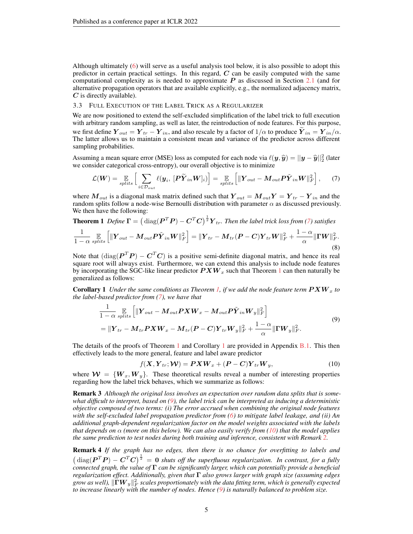Although ultimately [\(6\)](#page-3-4) will serve as a useful analysis tool below, it is also possible to adopt this predictor in certain practical settings. In this regard,  $C$  can be easily computed with the same computational complexity as is needed to approximate  $P$  as discussed in Section [2.1](#page-2-1) (and for alternative propagation operators that are available explicitly, e.g., the normalized adjacency matrix,  $C$  is directly available).

### <span id="page-4-0"></span>3.3 FULL EXECUTION OF THE LABEL TRICK AS A REGULARIZER

We are now positioned to extend the self-excluded simplification of the label trick to full execution with arbitrary random sampling, as well as later, the reintroduction of node features. For this purpose, we first define  $\bm{Y}_{out} = \bm{Y}_{tr} - \bm{Y}_{in}$ , and also rescale by a factor of  $1/\alpha$  to produce  $\bm{Y}_{in} = \bm{Y}_{in}/\alpha$ . The latter allows us to maintain a consistent mean and variance of the predictor across different sampling probabilities.

Assuming a mean square error (MSE) loss as computed for each node via  $\ell(y, \hat{y}) = ||y - \hat{y}||_2^2$  (later we consider categorical cross-entropy), our overall objective is to minimize we consider categorical cross-entropy), our overall objective is to minimize

<span id="page-4-1"></span>
$$
\mathcal{L}(\boldsymbol{W}) = \mathop{\mathbb{E}}_{\text{splits}} \left[ \sum_{i \in \mathcal{D}_{\text{out}}} \ell(\boldsymbol{y}_i, \, [\boldsymbol{P}\widetilde{\boldsymbol{Y}}_{in}\boldsymbol{W}]_i) \right] = \mathop{\mathbb{E}}_{\text{splits}} \left[ \|\boldsymbol{Y}_{\text{out}} - \boldsymbol{M}_{\text{out}} \boldsymbol{P}\widetilde{\boldsymbol{Y}}_{in}\boldsymbol{W}\|_F^2 \right],\tag{7}
$$

where  $M_{out}$  is a diagonal mask matrix defined such that  $Y_{out} = M_{out}Y = Y_{tr} - Y_{in}$  and the random splits follow a node-wise Bernoulli distribution with parameter  $\alpha$  as discussed previously. We then have the following:

<span id="page-4-2"></span>**Theorem 1** *Define* 
$$
\mathbf{\Gamma} = \left(\text{diag}(\mathbf{P}^T \mathbf{P}) - \mathbf{C}^T \mathbf{C}\right)^{\frac{1}{2}} \mathbf{Y}_{tr}
$$
. Then the label trick loss from (7) satisfies\n
$$
\frac{1}{1 - \alpha} \mathbb{E}_{\text{splits}} \left[ \|\mathbf{Y}_{out} - \mathbf{M}_{out} \mathbf{P} \tilde{\mathbf{Y}}_{in} \mathbf{W} \|^2_F \right] = \|\mathbf{Y}_{tr} - \mathbf{M}_{tr} (\mathbf{P} - \mathbf{C}) \mathbf{Y}_{tr} \mathbf{W} \|^2_F + \frac{1 - \alpha}{\alpha} \|\mathbf{\Gamma} \mathbf{W} \|^2_F.
$$
\n(8)

Note that  $(\text{diag}(\boldsymbol{P}^T\boldsymbol{P}) - \boldsymbol{C}^T\boldsymbol{C})$  is a positive semi-definite diagonal matrix, and hence its real square root will always exist. Furthermore, we can extend this analysis to include node features by incorporating the SGC-like linear predictor  $P X W_x$  such that Theorem [1](#page-4-2) can then naturally be generalized as follows:

<span id="page-4-3"></span>**Corollary 1** Under the same conditions as Theorem [1,](#page-4-2) if we add the node feature term  $P X W_x$  to *the label-based predictor from [\(7\)](#page-4-1), we have that*

<span id="page-4-4"></span>
$$
\frac{1}{1-\alpha} \mathop{\mathbb{E}}_{splits} \left[ \|\boldsymbol{Y}_{out} - \boldsymbol{M}_{out} \boldsymbol{P} \boldsymbol{X} \boldsymbol{W}_{x} - \boldsymbol{M}_{out} \boldsymbol{P} \boldsymbol{\tilde{Y}}_{in} \boldsymbol{W}_{y} \|_{F}^{2} \right]
$$
\n
$$
= \|\boldsymbol{Y}_{tr} - \boldsymbol{M}_{tr} \boldsymbol{P} \boldsymbol{X} \boldsymbol{W}_{x} - \boldsymbol{M}_{tr} (\boldsymbol{P} - \boldsymbol{C}) \boldsymbol{Y}_{tr} \boldsymbol{W}_{y} \|_{F}^{2} + \frac{1-\alpha}{\alpha} \|\boldsymbol{\Gamma} \boldsymbol{W}_{y} \|_{F}^{2}.
$$
\n(9)

The details of the proofs of Theorem [1](#page-4-3) and Corollary 1 are provided in Appendix [B.1.](#page-12-0) This then effectively leads to the more general, feature and label aware predictor

<span id="page-4-5"></span>
$$
f(\mathbf{X}, \mathbf{Y}_{tr}; \mathbf{W}) = \mathbf{P}\mathbf{X}\mathbf{W}_x + (\mathbf{P} - \mathbf{C})\mathbf{Y}_{tr}\mathbf{W}_y, \tag{10}
$$

where  $W = \{W_x, W_y\}$ . These theoretical results reveal a number of interesting properties regarding how the label trick behaves, which we summarize as follows:

Remark 3 *Although the original loss involves an expectation over random data splits that is somewhat difficult to interpret, based on [\(9\)](#page-4-4), the label trick can be interpreted as inducing a deterministic objective composed of two terms: (i) The error accrued when combining the original node features with the self-excluded label propagation predictor from [\(6\)](#page-3-4) to mitigate label leakage, and (ii) An additional graph-dependent regularization factor on the model weights associated with the labels that depends on*  $\alpha$  *(more on this below). We can also easily verify from [\(10\)](#page-4-5) that the model applies the same prediction to test nodes during both training and inference, consistent with Remark [2.](#page-3-5)*

<span id="page-4-6"></span>Remark 4 *If the graph has no edges, then there is no chance for overfitting to labels and*  $\left(\text{diag}(\boldsymbol{P}^T\boldsymbol{P})-\boldsymbol{C}^T\boldsymbol{C}\right)^{\frac{1}{2}}=0$  shuts off the superfluous regularization. In contrast, for a fully *connected graph, the value of* Γ *can be significantly larger, which can potentially provide a beneficial regularization effect. Additionally, given that* Γ *also grows larger with graph size (assuming edges* grow as well),  $\|\mathbf{\Gamma} \bm{W}_y\|_F^2$  scales proportionately with the data fitting term, which is generally expected *to increase linearly with the number of nodes. Hence [\(9\)](#page-4-4) is naturally balanced to problem size.*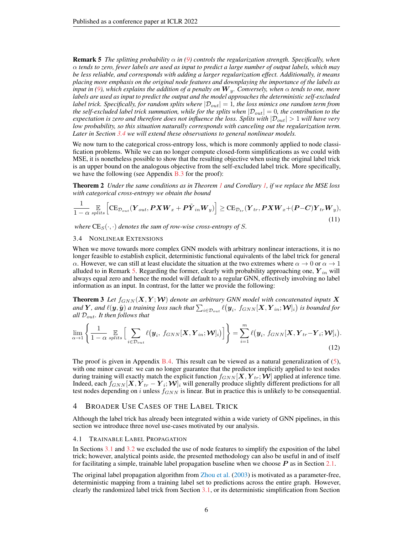<span id="page-5-2"></span>**Remark 5** *The splitting probability*  $\alpha$  *in* [\(9\)](#page-4-4) *controls the regularization strength. Specifically, when* α *tends to zero, fewer labels are used as input to predict a large number of output labels, which may be less reliable, and corresponds with adding a larger regularization effect. Additionally, it means placing more emphasis on the original node features and downplaying the importance of the labels as input in [\(9\)](#page-4-4), which explains the addition of a penalty on*  $W_y$ . Conversely, when  $\alpha$  *tends to one, more labels are used as input to predict the output and the model approaches the deterministic self-excluded label trick. Specifically, for random splits where*  $|\mathcal{D}_{out}| = 1$ *, the loss mimics one random term from the self-excluded label trick summation, while for the splits when*  $|\mathcal{D}_{out}| = 0$ , the contribution to the *expectation is zero and therefore does not influence the loss. Splits with*  $|\mathcal{D}_{out}| > 1$  *will have very low probability, so this situation naturally corresponds with canceling out the regularization term. Later in Section [3.4](#page-5-0) we will extend these observations to general nonlinear models.*

We now turn to the categorical cross-entropy loss, which is more commonly applied to node classification problems. While we can no longer compute closed-form simplifications as we could with MSE, it is nonetheless possible to show that the resulting objective when using the original label trick is an upper bound on the analogous objective from the self-excluded label trick. More specifically, we have the following (see Appendix  $B.3$  for the proof):

<span id="page-5-3"></span>Theorem 2 *Under the same conditions as in Theorem [1](#page-4-2) and Corollary [1,](#page-4-3) if we replace the MSE loss with categorical cross-entropy we obtain the bound*

$$
\frac{1}{1-\alpha} \mathop{\mathbb{E}}_{\text{splits}} \left[ CE_{\mathcal{D}_{out}}(\boldsymbol{Y}_{out}, \boldsymbol{P} \boldsymbol{X} \boldsymbol{W}_{x} + \boldsymbol{P} \tilde{\boldsymbol{Y}}_{in} \boldsymbol{W}_{y}) \right] \geq CE_{\mathcal{D}_{tr}}(\boldsymbol{Y}_{tr}, \boldsymbol{P} \boldsymbol{X} \boldsymbol{W}_{x} + (\boldsymbol{P} - \boldsymbol{C}) \boldsymbol{Y}_{tr} \boldsymbol{W}_{y}),
$$
\n(11)

*where*  $CE_S(\cdot, \cdot)$  *denotes the sum of row-wise cross-entropy of S.* 

#### <span id="page-5-0"></span>3.4 NONLINEAR EXTENSIONS

When we move towards more complex GNN models with arbitrary nonlinear interactions, it is no longer feasible to establish explicit, deterministic functional equivalents of the label trick for general α. However, we can still at least elucidate the situation at the two extremes where  $\alpha \to 0$  or  $\alpha \to 1$ alluded to in Remark [5.](#page-4-6) Regarding the former, clearly with probability approaching one,  $Y_{in}$  will always equal zero and hence the model will default to a regular GNN, effectively involving no label information as an input. In contrast, for the latter we provide the following:

<span id="page-5-4"></span>**Theorem 3** Let  $f_{GNN}(X, Y; W)$  denote an arbitrary GNN model with concatenated inputs X and  $Y$ , and  $\ell(y, \hat{y})$  a training loss such that  $\sum_{i \in \mathcal{D}_{out}} \ell(y_i, f_{GNN}[X, Y_{in}; \mathcal{W}]_i)$  is bounded for *all* Dout*. It then follows that*

<span id="page-5-5"></span>
$$
\lim_{\alpha \to 1} \left\{ \frac{1}{1 - \alpha} \mathop{\mathbb{E}}_{splits} \left[ \sum_{i \in \mathcal{D}_{out}} \ell(\mathbf{y}_i, f_{GNN}[\mathbf{X}, \mathbf{Y}_{in}; \mathbf{W}]_i) \right] \right\} = \sum_{i=1}^m \ell(\mathbf{y}_i, f_{GNN}[\mathbf{X}, \mathbf{Y}_{tr} - \mathbf{Y}_i; \mathbf{W}]_i).
$$
\n(12)

The proof is given in Appendix [B.4.](#page-17-1) This result can be viewed as a natural generalization of [\(5\)](#page-3-6), with one minor caveat: we can no longer guarantee that the predictor implicitly applied to test nodes during training will exactly match the explicit function  $f_{GNN}[\bm{X}, \bm{Y}_{tr}; \bm{\mathcal{W}}]$  applied at inference time. Indeed, each  $f_{GNN}[{\bm X},{\bm Y}_{tr}-{\bm Y}_i;{\bm {\mathcal W}}]_i$  will generally produce slightly different predictions for all test nodes depending on i unless  $f_{GNN}$  is linear. But in practice this is unlikely to be consequential.

# <span id="page-5-1"></span>4 BROADER USE CASES OF THE LABEL TRICK

Although the label trick has already been integrated within a wide variety of GNN pipelines, in this section we introduce three novel use-cases motivated by our analysis.

#### 4.1 TRAINABLE LABEL PROPAGATION

In Sections [3.1](#page-3-0) and [3.2](#page-3-1) we excluded the use of node features to simplify the exposition of the label trick; however, analytical points aside, the presented methodology can also be useful in and of itself for facilitating a simple, trainable label propagation baseline when we choose  $P$  as in Section [2.1.](#page-2-1)

The original label propagation algorithm from [Zhou et al.](#page-10-6) [\(2003\)](#page-10-6) is motivated as a parameter-free, deterministic mapping from a training label set to predictions across the entire graph. However, clearly the randomized label trick from Section [3.1,](#page-3-0) or its deterministic simplification from Section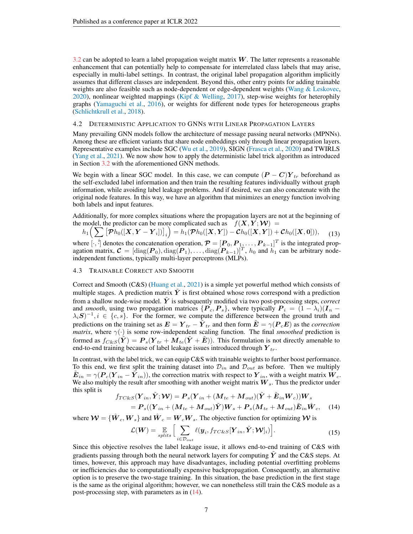<span id="page-6-3"></span>[3.2](#page-3-1) can be adopted to learn a label propagation weight matrix  $W$ . The latter represents a reasonable enhancement that can potentially help to compensate for interrelated class labels that may arise, especially in multi-label settings. In contrast, the original label propagation algorithm implicitly assumes that different classes are independent. Beyond this, other entry points for adding trainable weights are also feasible such as node-dependent or edge-dependent weights [\(Wang & Leskovec,](#page-10-10) [2020\)](#page-10-10), nonlinear weighted mappings [\(Kipf & Welling,](#page-9-1) [2017\)](#page-9-1), step-wise weights for heterophily graphs [\(Yamaguchi et al.,](#page-10-16) [2016\)](#page-10-16), or weights for different node types for heterogeneous graphs [\(Schlichtkrull et al.,](#page-10-17) [2018\)](#page-10-17).

#### <span id="page-6-4"></span>4.2 DETERMINISTIC APPLICATION TO GNNS WITH LINEAR PROPAGATION LAYERS

Many prevailing GNN models follow the architecture of message passing neural networks (MPNNs). Among these are efficient variants that share node embeddings only through linear propagation layers. Representative examples include SGC [\(Wu et al.,](#page-10-14) [2019\)](#page-10-14), SIGN [\(Frasca et al.,](#page-9-13) [2020\)](#page-9-13) and TWIRLS [\(Yang et al.,](#page-10-15) [2021\)](#page-10-15). We now show how to apply the deterministic label trick algorithm as introduced in Section [3.2](#page-3-1) with the aforementioned GNN methods.

We begin with a linear SGC model. In this case, we can compute  $(P - C)Y_{tr}$  beforehand as the self-excluded label information and then train the resulting features individually without graph information, while avoiding label leakage problems. And if desired, we can also concatenate with the original node features. In this way, we have an algorithm that minimizes an energy function involving both labels and input features.

Additionally, for more complex situations where the propagation layers are not at the beginning of the model, the predictor can be more complicated such as  $f(X, Y;W) =$ 

<span id="page-6-1"></span>
$$
h_1\Big(\sum \big[\mathcal{\overline{Ph}}_0([X,Y-Y_i])\big]_i\Big)=h_1(\mathcal{\overline{Ph}}_0([X,Y])-\mathcal{C}h_0([X,Y])+ \mathcal{C}h_0([X,0])),\quad \ (13)
$$

where  $[\cdot, \cdot]$  denotes the concatenation operation,  $\mathcal{P} = [\mathbf{P}_0, \mathbf{P}_1, \dots, \mathbf{P}_{k-1}]^T$  is the integrated propagation matrix,  $\mathcal{C} = [\text{diag}(\boldsymbol{P}_0), \text{diag}(\boldsymbol{P}_1), \dots, \text{diag}(\boldsymbol{P}_{k-1})]^T$ ,  $h_0$  and  $h_1$  can be arbitrary nodeindependent functions, typically multi-layer perceptrons (MLPs).

### <span id="page-6-2"></span>4.3 TRAINABLE CORRECT AND SMOOTH

Correct and Smooth (C&S) [\(Huang et al.,](#page-9-7) [2021\)](#page-9-7) is a simple yet powerful method which consists of multiple stages. A prediction matrix  $\tilde{Y}$  is first obtained whose rows correspond with a prediction from a shallow node-wise model. Y is subsequently modified via two post-processing steps, *correct* and *smooth*, using two propagation matrices  $\{P_c, P_s\}$ , where typically  $P_i = (1 - \lambda_i)(I_n \lambda_i S$ )<sup>-1</sup>,  $i \in \{c, s\}$ . For the former, we compute the difference between the ground truth and predictions on the training set as  $E = Y_{tr} - \tilde{Y}_{tr}$  and then form  $\tilde{E} = \gamma (P_c E)$  as the *correction matrix*, where  $\gamma(\cdot)$  is some row-independent scaling function. The final *smoothed* prediction is formed as  $f_{C\&S}(\tilde{Y}) = P_s(Y_{tr} + M_{te}(\tilde{Y} + \tilde{E}))$ . This formulation is not directly amenable to end-to-end training because of label leakage issues introduced through  $Y_{tr}$ .

In contrast, with the label trick, we can equip C&S with trainable weights to further boost performance. To this end, we first split the training dataset into  $\mathcal{D}_{in}$  and  $\mathcal{D}_{out}$  as before. Then we multiply  $\tilde{E}_{in} = \gamma (P_c (Y_{in} - \tilde{Y}_{in}))$ , the correction matrix with respect to  $Y_{in}$ , with a weight matrix  $W_c$ . We also multiply the result after smoothing with another weight matrix  $W<sub>s</sub>$ . Thus the predictor under this split is

<span id="page-6-0"></span>
$$
f_{TC\&S}(\boldsymbol{Y}_{in}, \tilde{\boldsymbol{Y}}; \boldsymbol{W}) = \boldsymbol{P}_s(\boldsymbol{Y}_{in} + (\boldsymbol{M}_{te} + \boldsymbol{M}_{out})(\tilde{\boldsymbol{Y}} + \tilde{\boldsymbol{E}}_{in} \boldsymbol{W}_c))\boldsymbol{W}_s
$$
  
=  $\boldsymbol{P}_s((\boldsymbol{Y}_{in} + (\boldsymbol{M}_{te} + \boldsymbol{M}_{out})\tilde{\boldsymbol{Y}})\boldsymbol{W}_s + \boldsymbol{P}_s(\boldsymbol{M}_{te} + \boldsymbol{M}_{out})\tilde{\boldsymbol{E}}_{in}\hat{\boldsymbol{W}}_c,$  (14)

where  $\mathcal{W} = \{\hat{W}_c, W_s\}$  and  $\hat{W}_c = W_c W_s$ . The objective function for optimizing  $\mathcal{W}$  is

$$
\mathcal{L}(\boldsymbol{W}) = \mathop{\mathbb{E}}_{splits} \Big[ \sum_{i \in \mathcal{D}_{out}} \ell(\boldsymbol{y}_i, f_{TC\&S}[\boldsymbol{Y}_{in}, \tilde{\boldsymbol{Y}}; \boldsymbol{W}]_i) \Big]. \tag{15}
$$

Since this objective resolves the label leakage issue, it allows end-to-end training of C&S with gradients passing through both the neural network layers for computing  $\tilde{Y}$  and the C&S steps. At times, however, this approach may have disadvantages, including potential overfitting problems or inefficiencies due to computationally expensive backpropagation. Consequently, an alternative option is to preserve the two-stage training. In this situation, the base prediction in the first stage is the same as the original algorithm; however, we can nonetheless still train the C&S module as a post-processing step, with parameters as in [\(14\)](#page-6-0).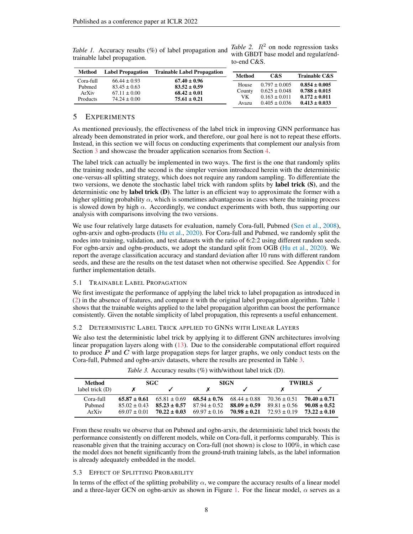| Method          | <b>Label Propagation</b> | <b>Trainable Label Propagation</b> |        |                   |                          |
|-----------------|--------------------------|------------------------------------|--------|-------------------|--------------------------|
|                 |                          |                                    | Method | C&S               | <b>Trainable C&amp;S</b> |
| Cora-full       | $66.44 \pm 0.93$         | $67.40 \pm 0.96$                   |        |                   |                          |
| Pubmed          | $83.45 \pm 0.63$         | $83.52 \pm 0.59$                   | House  | $0.797 \pm 0.005$ | $0.854 \pm 0.005$        |
| ArXiv           | $67.11 \pm 0.00$         | $68.42 \pm 0.01$                   | County | $0.625 \pm 0.048$ | $0.788 \pm 0.015$        |
|                 |                          |                                    | vк     | $0.163 \pm 0.011$ | $0.172 \pm 0.011$        |
| <b>Products</b> | $74.24 \pm 0.00$         | $75.61 \pm 0.21$                   | Avazu  | $0.405 \pm 0.036$ | $0.413 \pm 0.033$        |
|                 |                          |                                    |        |                   |                          |

<span id="page-7-2"></span><span id="page-7-0"></span>*Table 1.* Accuracy results (%) of label propagation and trainable label propagation. *Table 2.*  $R^2$  on node regression tasks with GBDT base model and regular/endto-end C&S.

# 5 EXPERIMENTS

As mentioned previously, the effectiveness of the label trick in improving GNN performance has already been demonstrated in prior work, and therefore, our goal here is not to repeat these efforts. Instead, in this section we will focus on conducting experiments that complement our analysis from Section [3](#page-3-7) and showcase the broader application scenarios from Section [4.](#page-5-1)

The label trick can actually be implemented in two ways. The first is the one that randomly splits the training nodes, and the second is the simpler version introduced herein with the deterministic one-versus-all splitting strategy, which does not require any random sampling. To differentiate the two versions, we denote the stochastic label trick with random splits by **label trick (S)**, and the deterministic one by label trick (D). The latter is an efficient way to approximate the former with a higher splitting probability  $\alpha$ , which is sometimes advantageous in cases where the training process is slowed down by high  $\alpha$ . Accordingly, we conduct experiments with both, thus supporting our analysis with comparisons involving the two versions.

We use four relatively large datasets for evaluation, namely Cora-full, Pubmed [\(Sen et al.,](#page-10-18) [2008\)](#page-10-18), ogbn-arxiv and ogbn-products [\(Hu et al.,](#page-9-11) [2020\)](#page-9-11). For Cora-full and Pubmed, we randomly split the nodes into training, validation, and test datasets with the ratio of 6:2:2 using different random seeds. For ogbn-arxiv and ogbn-products, we adopt the standard split from OGB [\(Hu et al.,](#page-9-11) [2020\)](#page-9-11). We report the average classification accuracy and standard deviation after 10 runs with different random seeds, and these are the results on the test dataset when not otherwise specified. See Appendix [C](#page-18-0) for further implementation details.

### 5.1 TRAINABLE LABEL PROPAGATION

We first investigate the performance of applying the label trick to label propagation as introduced in [\(2\)](#page-2-0) in the absence of features, and compare it with the original label propagation algorithm. Table [1](#page-7-0) shows that the trainable weights applied to the label propagation algorithm can boost the performance consistently. Given the notable simplicity of label propagation, this represents a useful enhancement.

## 5.2 DETERMINISTIC LABEL TRICK APPLIED TO GNNS WITH LINEAR LAYERS

We also test the deterministic label trick by applying it to different GNN architectures involving linear propagation layers along with [\(13\)](#page-6-1). Due to the considerable computational effort required to produce  $P$  and  $C$  with large propagation steps for larger graphs, we only conduct tests on the Cora-full, Pubmed and ogbn-arxiv datasets, where the results are presented in Table [3.](#page-7-1)

<span id="page-7-1"></span>

| Method          |                | SGC.<br><b>SIGN</b>               |                                   |                |                               | <b>TWIRLS</b>  |
|-----------------|----------------|-----------------------------------|-----------------------------------|----------------|-------------------------------|----------------|
| label trick (D) |                |                                   |                                   |                |                               |                |
| $Cora-full$     |                | $65.87 \pm 0.61$ $65.81 \pm 0.69$ | $68.54 \pm 0.76$ $68.44 \pm 0.88$ |                | $70.36 \pm 0.51$              | $70.40 + 0.71$ |
| Pubmed          | $85.02 + 0.43$ | $85.23 \pm 0.57$                  | $87.94 + 0.52$                    | $88.09 + 0.59$ | $89.81 + 0.56$ $90.08 + 0.52$ |                |
| ArXiv           | $69.07 + 0.01$ | $70.22 \pm 0.03$                  | $69.97 \pm 0.16$ 70.98 $\pm$ 0.21 |                | $72.93 + 0.19$ $73.22 + 0.10$ |                |

*Table 3.* Accuracy results (%) with/without label trick (D).

From these results we observe that on Pubmed and ogbn-arxiv, the deterministic label trick boosts the performance consistently on different models, while on Cora-full, it performs comparably. This is reasonable given that the training accuracy on Cora-full (not shown) is close to 100%, in which case the model does not benefit significantly from the ground-truth training labels, as the label information is already adequately embedded in the model.

# 5.3 EFFECT OF SPLITTING PROBABILITY

In terms of the effect of the splitting probability  $\alpha$ , we compare the accuracy results of a linear model and a three-layer GCN on ogbn-arxiv as shown in Figure [1.](#page-8-0) For the linear model,  $\alpha$  serves as a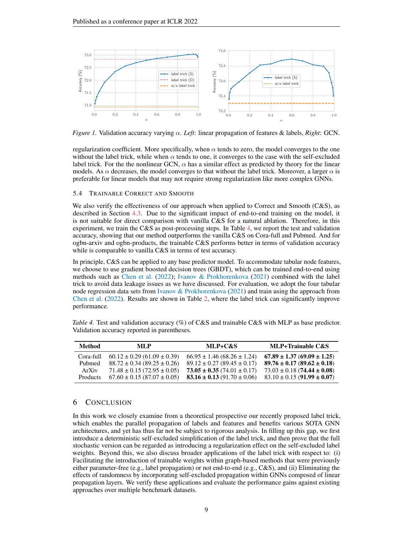<span id="page-8-2"></span><span id="page-8-0"></span>

*Figure 1.* Validation accuracy varying α. *Left*: linear propagation of features & labels, *Right*: GCN.

regularization coefficient. More specifically, when  $\alpha$  tends to zero, the model converges to the one without the label trick, while when  $\alpha$  tends to one, it converges to the case with the self-excluded label trick. For the the nonlinear GCN,  $\alpha$  has a similar effect as predicted by theory for the linear models. As  $\alpha$  decreases, the model converges to that without the label trick. Moreover, a larger  $\alpha$  is preferable for linear models that may not require strong regularization like more complex GNNs.

#### 5.4 TRAINABLE CORRECT AND SMOOTH

We also verify the effectiveness of our approach when applied to Correct and Smooth (C&S), as described in Section [4.3.](#page-6-2) Due to the significant impact of end-to-end training on the model, it is not suitable for direct comparison with vanilla C&S for a natural ablation. Therefore, in this experiment, we train the C&S as post-processing steps. In Table [4,](#page-8-1) we report the test and validation accuracy, showing that our method outperforms the vanilla C&S on Cora-full and Pubmed. And for ogbn-arxiv and ogbn-products, the trainable C&S performs better in terms of validation accuracy while is comparable to vanilla C&S in terms of test accuracy.

In principle, C&S can be applied to any base predictor model. To accommodate tabular node features, we choose to use gradient boosted decision trees (GBDT), which can be trained end-to-end using methods such as [Chen et al.](#page-9-14) [\(2022\)](#page-9-14); [Ivanov & Prokhorenkova](#page-9-15) [\(2021\)](#page-9-15) combined with the label trick to avoid data leakage issues as we have discussed. For evaluation, we adopt the four tabular node regression data sets from Ivanov  $\&$  Prokhorenkova [\(2021\)](#page-9-15) and train using the approach from [Chen et al.](#page-9-14) [\(2022\)](#page-9-14). Results are shown in Table [2,](#page-7-0) where the label trick can significantly improve performance.

<span id="page-8-1"></span>

| Table 4. Test and validation accuracy $(\%)$ of C&S and trainable C&S with MLP as base predictor. |  |  |
|---------------------------------------------------------------------------------------------------|--|--|
| Validation accuracy reported in parentheses.                                                      |  |  |

| Method          | MLP                                 | MLP+C&S                             | MLP+Trainable C&S                   |
|-----------------|-------------------------------------|-------------------------------------|-------------------------------------|
| Cora-full       | $60.12 \pm 0.29$ (61.09 $\pm$ 0.39) | $66.95 \pm 1.46$ $(68.26 \pm 1.24)$ | $67.89 \pm 1.37 (69.09 \pm 1.25)$   |
| Pubmed          | $88.72 \pm 0.34 (89.25 \pm 0.26)$   | $89.12 \pm 0.27$ (89.45 $\pm$ 0.17) | $89.76 \pm 0.17 (89.62 \pm 0.18)$   |
| ArXiv           | $71.48 \pm 0.15 (72.95 \pm 0.05)$   | $73.05 \pm 0.35 (74.01 \pm 0.17)$   | $73.03 \pm 0.18$ (74.44 $\pm$ 0.08) |
| <b>Products</b> | $67.60 \pm 0.15(87.07 \pm 0.05)$    | $83.16 \pm 0.13$ (91.70 $\pm$ 0.06) | $83.10 \pm 0.15$ (91.99 $\pm$ 0.07) |

### 6 CONCLUSION

In this work we closely examine from a theoretical prospective our recently proposed label trick, which enables the parallel propagation of labels and features and benefits various SOTA GNN architectures, and yet has thus far not be subject to rigorous analysis. In filling up this gap, we first introduce a deterministic self-excluded simplification of the label trick, and then prove that the full stochastic version can be regarded as introducing a regularization effect on the self-excluded label weights. Beyond this, we also discuss broader applications of the label trick with respect to: (i) Facilitating the introduction of trainable weights within graph-based methods that were previously either parameter-free (e.g., label propagation) or not end-to-end (e.g., C&S), and (ii) Eliminating the effects of randomness by incorporating self-excluded propagation within GNNs composed of linear propagation layers. We verify these applications and evaluate the performance gains against existing approaches over multiple benchmark datasets.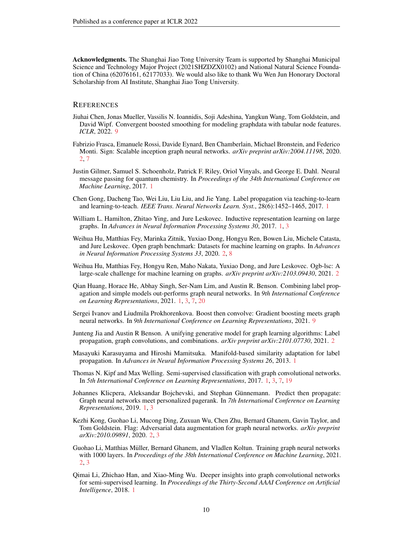Acknowledgments. The Shanghai Jiao Tong University Team is supported by Shanghai Municipal Science and Technology Major Project (2021SHZDZX0102) and National Natural Science Foundation of China (62076161, 62177033). We would also like to thank Wu Wen Jun Honorary Doctoral Scholarship from AI Institute, Shanghai Jiao Tong University.

# **REFERENCES**

- <span id="page-9-14"></span>Jiuhai Chen, Jonas Mueller, Vassilis N. Ioannidis, Soji Adeshina, Yangkun Wang, Tom Goldstein, and David Wipf. Convergent boosted smoothing for modeling graphdata with tabular node features. *ICLR*, 2022. [9](#page-8-2)
- <span id="page-9-13"></span>Fabrizio Frasca, Emanuele Rossi, Davide Eynard, Ben Chamberlain, Michael Bronstein, and Federico Monti. Sign: Scalable inception graph neural networks. *arXiv preprint arXiv:2004.11198*, 2020. [2,](#page-1-0) [7](#page-6-3)
- <span id="page-9-0"></span>Justin Gilmer, Samuel S. Schoenholz, Patrick F. Riley, Oriol Vinyals, and George E. Dahl. Neural message passing for quantum chemistry. In *Proceedings of the 34th International Conference on Machine Learning*, 2017. [1](#page-0-0)
- <span id="page-9-5"></span>Chen Gong, Dacheng Tao, Wei Liu, Liu Liu, and Jie Yang. Label propagation via teaching-to-learn and learning-to-teach. *IEEE Trans. Neural Networks Learn. Syst.*, 28(6):1452–1465, 2017. [1](#page-0-0)
- <span id="page-9-2"></span>William L. Hamilton, Zhitao Ying, and Jure Leskovec. Inductive representation learning on large graphs. In *Advances in Neural Information Processing Systems 30*, 2017. [1,](#page-0-0) [3](#page-2-2)
- <span id="page-9-11"></span>Weihua Hu, Matthias Fey, Marinka Zitnik, Yuxiao Dong, Hongyu Ren, Bowen Liu, Michele Catasta, and Jure Leskovec. Open graph benchmark: Datasets for machine learning on graphs. In *Advances in Neural Information Processing Systems 33*, 2020. [2,](#page-1-0) [8](#page-7-2)
- <span id="page-9-12"></span>Weihua Hu, Matthias Fey, Hongyu Ren, Maho Nakata, Yuxiao Dong, and Jure Leskovec. Ogb-lsc: A large-scale challenge for machine learning on graphs. *arXiv preprint arXiv:2103.09430*, 2021. [2](#page-1-0)
- <span id="page-9-7"></span>Qian Huang, Horace He, Abhay Singh, Ser-Nam Lim, and Austin R. Benson. Combining label propagation and simple models out-performs graph neural networks. In *9th International Conference on Learning Representations*, 2021. [1,](#page-0-0) [3,](#page-2-2) [7,](#page-6-3) [20](#page-19-0)
- <span id="page-9-15"></span>Sergei Ivanov and Liudmila Prokhorenkova. Boost then convolve: Gradient boosting meets graph neural networks. In *9th International Conference on Learning Representations*, 2021. [9](#page-8-2)
- <span id="page-9-8"></span>Junteng Jia and Austin R Benson. A unifying generative model for graph learning algorithms: Label propagation, graph convolutions, and combinations. *arXiv preprint arXiv:2101.07730*, 2021. [2](#page-1-0)
- <span id="page-9-4"></span>Masayuki Karasuyama and Hiroshi Mamitsuka. Manifold-based similarity adaptation for label propagation. In *Advances in Neural Information Processing Systems 26*, 2013. [1](#page-0-0)
- <span id="page-9-1"></span>Thomas N. Kipf and Max Welling. Semi-supervised classification with graph convolutional networks. In *5th International Conference on Learning Representations*, 2017. [1,](#page-0-0) [3,](#page-2-2) [7,](#page-6-3) [19](#page-18-1)
- <span id="page-9-6"></span>Johannes Klicpera, Aleksandar Bojchevski, and Stephan Günnemann. Predict then propagate: Graph neural networks meet personalized pagerank. In *7th International Conference on Learning Representations*, 2019. [1,](#page-0-0) [3](#page-2-2)
- <span id="page-9-9"></span>Kezhi Kong, Guohao Li, Mucong Ding, Zuxuan Wu, Chen Zhu, Bernard Ghanem, Gavin Taylor, and Tom Goldstein. Flag: Adversarial data augmentation for graph neural networks. *arXiv preprint arXiv:2010.09891*, 2020. [2,](#page-1-0) [3](#page-2-2)
- <span id="page-9-10"></span>Guohao Li, Matthias Muller, Bernard Ghanem, and Vladlen Koltun. Training graph neural networks ¨ with 1000 layers. In *Proceedings of the 38th International Conference on Machine Learning*, 2021. [2,](#page-1-0) [3](#page-2-2)
- <span id="page-9-3"></span>Qimai Li, Zhichao Han, and Xiao-Ming Wu. Deeper insights into graph convolutional networks for semi-supervised learning. In *Proceedings of the Thirty-Second AAAI Conference on Artificial Intelligence*, 2018. [1](#page-0-0)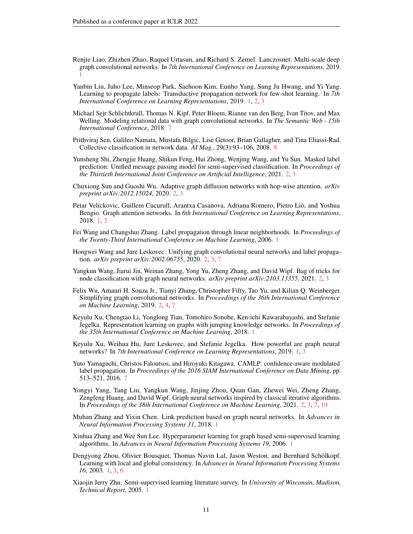- <span id="page-10-3"></span>Renjie Liao, Zhizhen Zhao, Raquel Urtasun, and Richard S. Zemel. Lanczosnet: Multi-scale deep graph convolutional networks. In *7th International Conference on Learning Representations*, 2019. [1](#page-0-0)
- <span id="page-10-9"></span>Yanbin Liu, Juho Lee, Minseop Park, Saehoon Kim, Eunho Yang, Sung Ju Hwang, and Yi Yang. Learning to propagate labels: Transductive propagation network for few-shot learning. In *7th International Conference on Learning Representations*, 2019. [1,](#page-0-0) [2,](#page-1-0) [3](#page-2-2)
- <span id="page-10-17"></span>Michael Sejr Schlichtkrull, Thomas N. Kipf, Peter Bloem, Rianne van den Berg, Ivan Titov, and Max Welling. Modeling relational data with graph convolutional networks. In *The Semantic Web - 15th International Conference*, 2018. [7](#page-6-3)
- <span id="page-10-18"></span>Prithviraj Sen, Galileo Namata, Mustafa Bilgic, Lise Getoor, Brian Gallagher, and Tina Eliassi-Rad. Collective classification in network data. *AI Mag.*, 29(3):93–106, 2008. [8](#page-7-2)
- <span id="page-10-13"></span>Yunsheng Shi, Zhengjie Huang, Shikun Feng, Hui Zhong, Wenjing Wang, and Yu Sun. Masked label prediction: Unified message passing model for semi-supervised classification. In *Proceedings of the Thirtieth International Joint Conference on Artificial Intelligence*, 2021. [2,](#page-1-0) [3](#page-2-2)
- <span id="page-10-12"></span>Chuxiong Sun and Guoshi Wu. Adaptive graph diffusion networks with hop-wise attention. *arXiv preprint arXiv:2012.15024*, 2020. [2,](#page-1-0) [3](#page-2-2)
- <span id="page-10-0"></span>Petar Velickovic, Guillem Cucurull, Arantxa Casanova, Adriana Romero, Pietro Lio, and Yoshua ` Bengio. Graph attention networks. In *6th International Conference on Learning Representations*, 2018. [1,](#page-0-0) [3](#page-2-2)
- <span id="page-10-8"></span>Fei Wang and Changshui Zhang. Label propagation through linear neighborhoods. In *Proceedings of the Twenty-Third International Conference on Machine Learning*, 2006. [1](#page-0-0)
- <span id="page-10-10"></span>Hongwei Wang and Jure Leskovec. Unifying graph convolutional neural networks and label propagation. *arXiv preprint arXiv:2002.06755*, 2020. [2,](#page-1-0) [3,](#page-2-2) [7](#page-6-3)
- <span id="page-10-11"></span>Yangkun Wang, Jiarui Jin, Weinan Zhang, Yong Yu, Zheng Zhang, and David Wipf. Bag of tricks for node classification with graph neural networks. *arXiv preprint arXiv:2103.13355*, 2021. [2,](#page-1-0) [3](#page-2-2)
- <span id="page-10-14"></span>Felix Wu, Amauri H. Souza Jr., Tianyi Zhang, Christopher Fifty, Tao Yu, and Kilian Q. Weinberger. Simplifying graph convolutional networks. In *Proceedings of the 36th International Conference on Machine Learning*, 2019. [2,](#page-1-0) [4,](#page-3-8) [7](#page-6-3)
- <span id="page-10-2"></span>Keyulu Xu, Chengtao Li, Yonglong Tian, Tomohiro Sonobe, Ken-ichi Kawarabayashi, and Stefanie Jegelka. Representation learning on graphs with jumping knowledge networks. In *Proceedings of the 35th International Conference on Machine Learning*, 2018. [1](#page-0-0)
- <span id="page-10-4"></span>Keyulu Xu, Weihua Hu, Jure Leskovec, and Stefanie Jegelka. How powerful are graph neural networks? In *7th International Conference on Learning Representations*, 2019. [1,](#page-0-0) [3](#page-2-2)
- <span id="page-10-16"></span>Yuto Yamaguchi, Christos Faloutsos, and Hiroyuki Kitagawa. CAMLP: confidence-aware modulated label propagation. In *Proceedings of the 2016 SIAM International Conference on Data Mining*, pp. 513–521, 2016. [7](#page-6-3)
- <span id="page-10-15"></span>Yongyi Yang, Tang Liu, Yangkun Wang, Jinjing Zhou, Quan Gan, Zhewei Wei, Zheng Zhang, Zengfeng Huang, and David Wipf. Graph neural networks inspired by classical iterative algorithms. In *Proceedings of the 38th International Conference on Machine Learning*, 2021. [2,](#page-1-0) [3,](#page-2-2) [7,](#page-6-3) [19](#page-18-1)
- <span id="page-10-1"></span>Muhan Zhang and Yixin Chen. Link prediction based on graph neural networks. In *Advances in Neural Information Processing Systems 31*, 2018. [1](#page-0-0)
- <span id="page-10-7"></span>Xinhua Zhang and Wee Sun Lee. Hyperparameter learning for graph based semi-supervised learning algorithms. In *Advances in Neural Information Processing Systems 19*, 2006. [1](#page-0-0)
- <span id="page-10-6"></span>Dengyong Zhou, Olivier Bousquet, Thomas Navin Lal, Jason Weston, and Bernhard Schölkopf. Learning with local and global consistency. In *Advances in Neural Information Processing Systems 16*, 2003. [1,](#page-0-0) [3,](#page-2-2) [6](#page-5-2)
- <span id="page-10-5"></span>Xiaojin Jerry Zhu. Semi-supervised learning literature survey. In *University of Wisconsin, Madison, Technical Report*, 2005. [1](#page-0-0)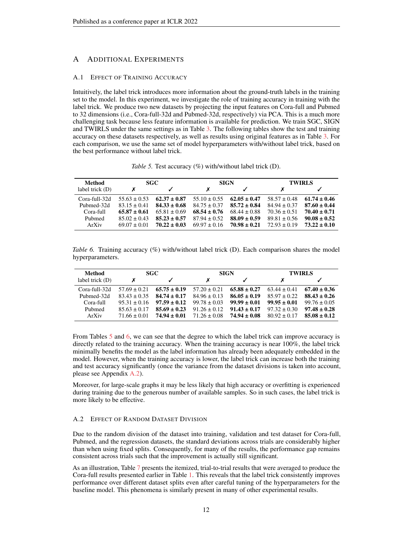# A ADDITIONAL EXPERIMENTS

# A.1 EFFECT OF TRAINING ACCURACY

Intuitively, the label trick introduces more information about the ground-truth labels in the training set to the model. In this experiment, we investigate the role of training accuracy in training with the label trick. We produce two new datasets by projecting the input features on Cora-full and Pubmed to 32 dimensions (i.e., Cora-full-32d and Pubmed-32d, respectively) via PCA. This is a much more challenging task because less feature information is available for prediction. We train SGC, SIGN and TWIRLS under the same settings as in Table [3.](#page-7-1) The following tables show the test and training accuracy on these datasets respectively, as well as results using original features as in Table [3.](#page-7-1) For each comparison, we use the same set of model hyperparameters with/without label trick, based on the best performance without label trick.

*Table 5.* Test accuracy (%) with/without label trick (D).

<span id="page-11-0"></span>

| Method            | <b>SGC</b>       |                  | <b>SIGN</b>      |                  | <b>TWIRLS</b>    |                  |
|-------------------|------------------|------------------|------------------|------------------|------------------|------------------|
| label trick $(D)$ |                  |                  |                  |                  |                  |                  |
| Cora-full-32d     | $55.63 \pm 0.53$ | $62.37 + 0.87$   | $55.10 \pm 0.55$ | $62.05 + 0.47$   | $58.57 \pm 0.48$ | $61.74 + 0.46$   |
| Pubmed-32d        | $83.15 + 0.41$   | $84.33 + 0.68$   | $84.75 + 0.37$   | $85.72 \pm 0.84$ | $84.94 \pm 0.37$ | $87.60 \pm 0.44$ |
| Cora-full         | $65.87 \pm 0.61$ | $65.81 + 0.69$   | $68.54 \pm 0.76$ | $68.44 + 0.88$   | $70.36 + 0.51$   | $70.40 \pm 0.71$ |
| Pubmed            | $85.02 + 0.43$   | $85.23 + 0.57$   | $87.94 + 0.52$   | $88.09 \pm 0.59$ | $89.81 \pm 0.56$ | $90.08 + 0.52$   |
| ArXiv             | $69.07 + 0.01$   | $70.22 \pm 0.03$ | $69.97 \pm 0.16$ | $70.98 \pm 0.21$ | $72.93 + 0.19$   | $73.22 \pm 0.10$ |

<span id="page-11-1"></span>*Table 6.* Training accuracy (%) with/without label trick (D). Each comparison shares the model hyperparameters.

| Method            |                | <b>SGC</b>       |                  | <b>SIGN</b>      |                  | <b>TWIRLS</b>    |
|-------------------|----------------|------------------|------------------|------------------|------------------|------------------|
| label trick $(D)$ | х              |                  |                  |                  |                  |                  |
| Cora-full-32d     | $57.69 + 0.21$ | $65.75 \pm 0.19$ | $57.20 + 0.21$   | $65.88 + 0.27$   | $63.44 + 0.41$   | $67.40 \pm 0.36$ |
| Pubmed-32d        | $83.43 + 0.35$ | $84.74 \pm 0.17$ | $84.96 + 0.13$   | $86.05 \pm 0.19$ | $85.97 + 0.22$   | $88.43 + 0.26$   |
| Cora-full         | $95.31 + 0.16$ | $97.59 \pm 0.12$ | $99.78 + 0.03$   | $99.99 + 0.01$   | $99.95 \pm 0.01$ | $99.76 + 0.05$   |
| Pubmed            | $85.63 + 0.17$ | $85.69 \pm 0.23$ | $91.26 \pm 0.12$ | $91.43 \pm 0.17$ | $97.32 + 0.30$   | $97.48 + 0.28$   |
| ArXiv             | $71.66 + 0.01$ | $74.94 \pm 0.01$ | $71.26 \pm 0.08$ | $74.94 + 0.08$   | $80.92 + 0.17$   | $85.08 + 0.12$   |

From Tables [5](#page-11-0) and [6,](#page-11-1) we can see that the degree to which the label trick can improve accuracy is directly related to the training accuracy. When the training accuracy is near 100%, the label trick minimally benefits the model as the label information has already been adequately embedded in the model. However, when the training accuracy is lower, the label trick can increase both the training and test accuracy significantly (once the variance from the dataset divisions is taken into account, please see Appendix [A.2\)](#page-11-2).

Moreover, for large-scale graphs it may be less likely that high accuracy or overfitting is experienced during training due to the generous number of available samples. So in such cases, the label trick is more likely to be effective.

# <span id="page-11-2"></span>A.2 EFFECT OF RANDOM DATASET DIVISION

Due to the random division of the dataset into training, validation and test dataset for Cora-full, Pubmed, and the regression datasets, the standard deviations across trials are considerably higher than when using fixed splits. Consequently, for many of the results, the performance gap remains consistent across trials such that the improvement is actually still significant.

As an illustration, Table [7](#page-12-1) presents the itemized, trial-to-trial results that were averaged to produce the Cora-full results presented earlier in Table [1.](#page-7-0) This reveals that the label trick consistently improves performance over different dataset splits even after careful tuning of the hyperparameters for the baseline model. This phenomena is similarly present in many of other experimental results.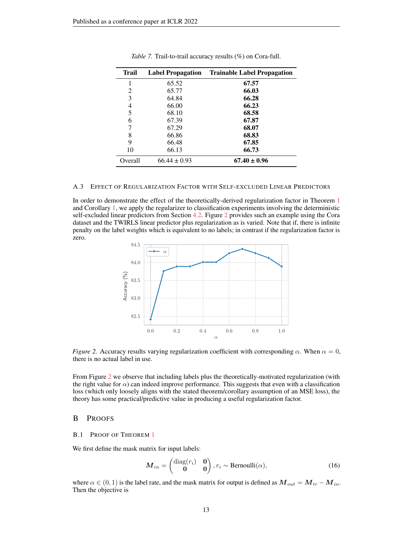<span id="page-12-1"></span>

| <b>Trail</b> | <b>Label Propagation</b> | <b>Trainable Label Propagation</b> |
|--------------|--------------------------|------------------------------------|
|              | 65.52                    | 67.57                              |
| 2            | 65.77                    | 66.03                              |
| 3            | 64.84                    | 66.28                              |
| 4            | 66.00                    | 66.23                              |
| 5            | 68.10                    | 68.58                              |
| 6            | 67.39                    | 67.87                              |
| 7            | 67.29                    | 68.07                              |
| 8            | 66.86                    | 68.83                              |
| 9            | 66.48                    | 67.85                              |
| 10           | 66.13                    | 66.73                              |
| Overall      | $66.44 \pm 0.93$         | $67.40 \pm 0.96$                   |

*Table 7.* Trail-to-trail accuracy results (%) on Cora-full.

### A.3 EFFECT OF REGULARIZATION FACTOR WITH SELF-EXCLUDED LINEAR PREDICTORS

<span id="page-12-2"></span>In order to demonstrate the effect of the theoretically-derived regularization factor in Theorem [1](#page-4-2) and Corollary [1,](#page-4-3) we apply the regularizer to classification experiments involving the deterministic self-excluded linear predictors from Section [4.2.](#page-6-4) Figure [2](#page-12-2) provides such an example using the Cora dataset and the TWIRLS linear predictor plus regularization as is varied. Note that if, there is infinite penalty on the label weights which is equivalent to no labels; in contrast if the regularization factor is zero.



*Figure 2.* Accuracy results varying regularization coefficient with corresponding  $\alpha$ . When  $\alpha = 0$ , there is no actual label in use.

From Figure [2](#page-12-2) we observe that including labels plus the theoretically-motivated regularization (with the right value for  $\alpha$ ) can indeed improve performance. This suggests that even with a classification loss (which only loosely aligns with the stated theorem/corollary assumption of an MSE loss), the theory has some practical/predictive value in producing a useful regularization factor.

# B PROOFS

### <span id="page-12-0"></span>B.1 PROOF OF THEOREM [1](#page-4-2)

We first define the mask matrix for input labels:

$$
\boldsymbol{M}_{in} = \begin{pmatrix} \text{diag}(r_i) & \mathbf{0} \\ \mathbf{0} & \mathbf{0} \end{pmatrix}, r_i \sim \text{Bernoulli}(\alpha), \tag{16}
$$

where  $\alpha \in (0, 1)$  is the label rate, and the mask matrix for output is defined as  $M_{out} = M_{tr} - M_{in}$ . Then the objective is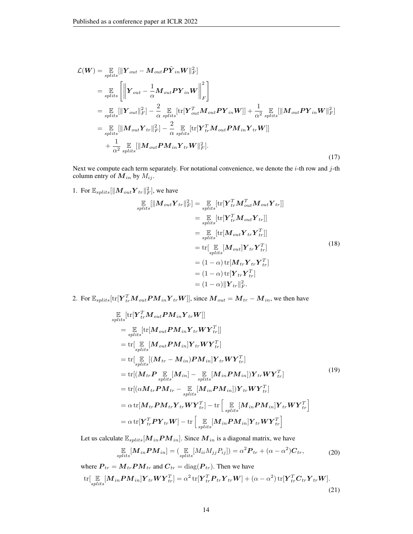$$
\mathcal{L}(W) = \mathop{\mathbb{E}}_{splits}[\|\mathbf{Y}_{out} - \mathbf{M}_{out} \mathbf{P} \tilde{\mathbf{Y}}_{in} W\|_{F}^{2}]
$$
\n
$$
= \mathop{\mathbb{E}}_{splits} [\|\mathbf{Y}_{out} - \frac{1}{\alpha} \mathbf{M}_{out} \mathbf{P} \mathbf{Y}_{in} W\|_{F}^{2}]
$$
\n
$$
= \mathop{\mathbb{E}}_{splits}[\|\mathbf{Y}_{out}\|_{F}^{2}] - \frac{2}{\alpha} \mathop{\mathbb{E}}_{splits}[\text{tr}[\mathbf{Y}_{out}^{T} \mathbf{M}_{out} \mathbf{P} \mathbf{Y}_{in} W]] + \frac{1}{\alpha^{2}} \mathop{\mathbb{E}}_{splits}[\|\mathbf{M}_{out} \mathbf{P} \mathbf{Y}_{in} W\|_{F}^{2}]
$$
\n
$$
= \mathop{\mathbb{E}}_{splits}[\|\mathbf{M}_{out} \mathbf{Y}_{tr}\|_{F}^{2}] - \frac{2}{\alpha} \mathop{\mathbb{E}}_{splits}[\text{tr}[\mathbf{Y}_{tr}^{T} \mathbf{M}_{out} \mathbf{P} \mathbf{M}_{in} \mathbf{Y}_{tr} W]]
$$
\n
$$
+ \frac{1}{\alpha^{2}} \mathop{\mathbb{E}}_{splits}[\|\mathbf{M}_{out} \mathbf{P} \mathbf{M}_{in} \mathbf{Y}_{tr} W\|_{F}^{2}].
$$
\n(17)

Next we compute each term separately. For notational convenience, we denote the  $i$ -th row and  $j$ -th column entry of  $M_{in}$  by  $M_{ij}$ .

1. For  $\mathbb{E}_{\text{splits}}[\|M_{\text{out}}\boldsymbol{Y}_{\text{tr}}\|_F^2]$ , we have

$$
\mathbb{E}_{splits}[\|M_{out}\boldsymbol{Y}_{tr}\|_{F}^{2}] = \mathbb{E}_{splits}[\text{tr}[\boldsymbol{Y}_{tr}^{T}\boldsymbol{M}_{out}^{T}\boldsymbol{M}_{out}\boldsymbol{Y}_{tr}]]
$$
\n
$$
= \mathbb{E}_{splits}[\text{tr}[\boldsymbol{Y}_{tr}^{T}\boldsymbol{M}_{out}\boldsymbol{Y}_{tr}]]
$$
\n
$$
= \mathbb{E}_{splits}[\text{tr}[\boldsymbol{M}_{out}\boldsymbol{Y}_{tr}\boldsymbol{Y}_{tr}^{T}]]
$$
\n
$$
= \text{tr}[\mathbb{E}_{splits}[\boldsymbol{M}_{out}]\boldsymbol{Y}_{tr}\boldsymbol{Y}_{tr}^{T}]
$$
\n
$$
= (1 - \alpha) \text{tr}[\boldsymbol{M}_{tr}\boldsymbol{Y}_{tr}\boldsymbol{Y}_{tr}^{T}]
$$
\n
$$
= (1 - \alpha) \text{tr}[\boldsymbol{Y}_{tr}\boldsymbol{Y}_{tr}^{T}]
$$
\n
$$
= (1 - \alpha)\|\boldsymbol{Y}_{tr}\|_{F}^{2}.
$$
\n(18)

2. For  $\mathbb{E}_{splits}[\text{tr}[\bm{Y}_{tr}^T\bm{M}_{out}\bm{P}\bm{M}_{in}\bm{Y}_{tr}\bm{W}]],$  since  $\bm{M}_{out}=\bm{M}_{tr}-\bm{M}_{in}$ , we then have

$$
\mathbb{E}_{\text{splits}}[\text{tr}[\mathbf{Y}_{tr}^{T}\mathbf{M}_{out}P\mathbf{M}_{in}\mathbf{Y}_{tr}\mathbf{W}]]
$$
\n
$$
= \mathbb{E}_{\text{splits}}[\text{tr}[\mathbf{M}_{out}P\mathbf{M}_{in}\mathbf{Y}_{tr}\mathbf{W}\mathbf{Y}_{tr}^{T}]]
$$
\n
$$
= \text{tr}[\mathbb{E}_{\text{splits}}[\mathbf{M}_{out}P\mathbf{M}_{in}]\mathbf{Y}_{tr}\mathbf{W}\mathbf{Y}_{tr}^{T}]
$$
\n
$$
= \text{tr}[\mathbb{E}_{\text{splits}}[(\mathbf{M}_{tr} - \mathbf{M}_{in})P\mathbf{M}_{in}]\mathbf{Y}_{tr}\mathbf{W}\mathbf{Y}_{tr}^{T}]
$$
\n
$$
= \text{tr}[(\mathbf{M}_{tr}\mathbf{P}\mathbb{E}_{\text{splits}}[\mathbf{M}_{in}] - \mathbb{E}_{\text{splits}}[\mathbf{M}_{in}P\mathbf{M}_{in}])\mathbf{Y}_{tr}\mathbf{W}\mathbf{Y}_{tr}^{T}]
$$
\n
$$
= \text{tr}[(\alpha\mathbf{M}_{tr}\mathbf{P}\mathbf{M}_{tr} - \mathbb{E}_{\text{splits}}[\mathbf{M}_{in}P\mathbf{M}_{in}])\mathbf{Y}_{tr}\mathbf{W}\mathbf{Y}_{tr}^{T}]
$$
\n
$$
= \alpha \text{tr}[\mathbf{M}_{tr}\mathbf{P}\mathbf{M}_{tr}\mathbf{Y}_{tr}\mathbf{W}\mathbf{Y}_{tr}^{T}] - \text{tr}[\mathbb{E}_{\text{splits}}[\mathbf{M}_{in}P\mathbf{M}_{in}]\mathbf{Y}_{tr}\mathbf{W}\mathbf{Y}_{tr}^{T}]
$$
\n
$$
= \alpha \text{tr}[\mathbf{Y}_{tr}^{T}\mathbf{P}\mathbf{Y}_{tr}\mathbf{W}] - \text{tr}[\mathbb{E}_{\text{splits}}[\mathbf{M}_{in}P\mathbf{M}_{in}]\mathbf{Y}_{tr}\mathbf{W}\mathbf{Y}_{tr}^{T}]
$$

Let us calculate  $\mathbb{E}_{splits}[M_{in}PM_{in}]$ . Since  $M_{in}$  is a diagonal matrix, we have

$$
\mathop{\mathbb{E}}_{\text{splits}}[M_{in}PM_{in}] = (\mathop{\mathbb{E}}_{\text{splits}}[M_{ii}M_{jj}P_{ij}]) = \alpha^2 P_{tr} + (\alpha - \alpha^2)C_{tr},\tag{20}
$$

where  $P_{tr} = M_{tr} P M_{tr}$  and  $C_{tr} = \text{diag}(P_{tr})$ . Then we have  $\begin{aligned} \mathrm{tr}[\mathop{\mathbb{E}}_{\substack{splits}}[ \boldsymbol{M}_{in}\boldsymbol{P}\boldsymbol{M}_{in}]\boldsymbol{Y}_{tr}\boldsymbol{W}\boldsymbol{Y}_{tr}^T]=\alpha^2\,\mathrm{tr}[\boldsymbol{Y}_{tr}^T\boldsymbol{P}_{tr}\boldsymbol{Y}_{tr}\boldsymbol{W}]+(\alpha-\alpha^2)\,\mathrm{tr}[\boldsymbol{Y}_{tr}^T\boldsymbol{C}_{tr}\boldsymbol{Y}_{tr}\boldsymbol{W}]. \end{aligned}$ (21)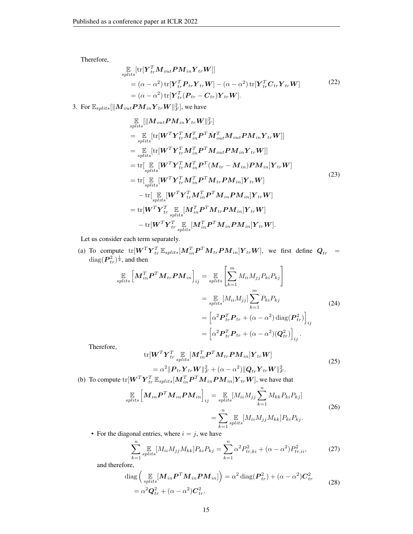Therefore,

$$
\mathbb{E}_{\text{splits}}[\text{tr}[\mathbf{Y}_{tr}^T \mathbf{M}_{out} \mathbf{P} \mathbf{M}_{in} \mathbf{Y}_{tr} \mathbf{W}]]
$$
\n
$$
= (\alpha - \alpha^2) \text{tr}[\mathbf{Y}_{tr}^T \mathbf{P}_{tr} \mathbf{Y}_{tr} \mathbf{W}] - (\alpha - \alpha^2) \text{tr}[\mathbf{Y}_{tr}^T \mathbf{C}_{tr} \mathbf{Y}_{tr} \mathbf{W}]
$$
\n
$$
= (\alpha - \alpha^2) \text{tr}[\mathbf{Y}_{tr}^T (\mathbf{P}_{tr} - \mathbf{C}_{tr}) \mathbf{Y}_{tr} \mathbf{W}].
$$
\n(22)

3. For  $\mathbb{E}_{splits}[\|M_{out}PM_{in}Y_{tr}W\|_F^2]$ , we have

$$
\mathbb{E}_{\text{splits}}[\|M_{out}PM_{in}Y_{tr}W\|_{F}^{2}] \n= \mathbb{E}_{\text{splits}}[\text{tr}[W^{T}Y_{tr}^{T}M_{in}^{T}P^{T}M_{out}^{T}M_{out}PM_{in}Y_{tr}W]] \n= \mathbb{E}_{\text{splits}}[\text{tr}[W^{T}Y_{tr}^{T}M_{in}^{T}P^{T}M_{out}PM_{in}Y_{tr}W]] \n= \text{tr}[\mathbb{E}_{\text{splits}}[W^{T}Y_{tr}^{T}M_{in}^{T}P^{T}(M_{tr}-M_{in})PM_{in}]Y_{tr}W] \n= \text{tr}[\mathbb{E}_{\text{splits}}[W^{T}Y_{tr}^{T}M_{in}^{T}P^{T}M_{tr}PM_{in}]Y_{tr}W] \n- \text{tr}[\mathbb{E}_{\text{splits}}[W^{T}Y_{tr}^{T}M_{in}^{T}P^{T}M_{in}PM_{in}]Y_{tr}W] \n= \text{tr}[W^{T}Y_{tr}^{T} \mathbb{E}_{\text{splits}}[M_{in}^{T}P^{T}M_{tr}PM_{in}]Y_{tr}W] \n= \text{tr}[W^{T}Y_{tr}^{T} \mathbb{E}_{\text{splits}}[M_{in}^{T}P^{T}M_{in}PM_{in}]Y_{tr}W] \n- \text{tr}[W^{T}Y_{tr}^{T} \mathbb{E}_{\text{splits}}[M_{in}^{T}P^{T}M_{in}PM_{in}]Y_{tr}W].
$$

Let us consider each term separately.

(a) To compute  $tr[W^TY_{tr}^T\mathbb{E}_{splits}[M_{in}^TP^TM_{tr}PM_{in}]Y_{tr}W]$ , we first define  $Q_{tr}$  =  $\text{diag}(\boldsymbol{P}_{tr}^2)^{\frac{1}{2}}$ , and then

$$
\mathbb{E}_{\text{splits}}\left[\mathbf{M}_{in}^T \mathbf{P}^T \mathbf{M}_{tr} \mathbf{P} \mathbf{M}_{in}\right]_{ij} = \mathbb{E}_{\text{splits}}\left[\sum_{k=1}^m M_{ii} M_{jj} P_{ki} P_{kj}\right]
$$
\n
$$
= \mathbb{E}_{\text{splits}}[M_{ii} M_{jj}] \sum_{k=1}^m P_{ki} P_{kj}
$$
\n
$$
= \left[\alpha^2 \mathbf{P}_{tr}^T \mathbf{P}_{tr} + (\alpha - \alpha^2) \operatorname{diag}(\mathbf{P}_{tr}^2)\right]_{ij}
$$
\n
$$
= \left[\alpha^2 \mathbf{P}_{tr}^T \mathbf{P}_{tr} + (\alpha - \alpha^2)(\mathbf{Q}_{tr}^2)\right]_{ij}.
$$
\n(24)

Therefore,

$$
\text{tr}[\boldsymbol{W}^T \boldsymbol{Y}_{tr}^T \underset{splits}{\mathbb{E}} [\boldsymbol{M}_{in}^T \boldsymbol{P}^T \boldsymbol{M}_{tr} \boldsymbol{P} \boldsymbol{M}_{in}] \boldsymbol{Y}_{tr} \boldsymbol{W}] \n= \alpha^2 \|\boldsymbol{P}_{tr} \boldsymbol{Y}_{tr} \boldsymbol{W}\|_F^2 + (\alpha - \alpha^2) \|\boldsymbol{Q}_{tr} \boldsymbol{Y}_{tr} \boldsymbol{W}\|_F^2.
$$
\n(25)

(b) To compute  $tr[\boldsymbol{W}^T \boldsymbol{Y}_{tr}^T \mathbb{E}_{splits}[\boldsymbol{M}_{in}^T \boldsymbol{P}^T \boldsymbol{M}_{in} \boldsymbol{P} \boldsymbol{M}_{in}] \boldsymbol{Y}_{tr} \boldsymbol{W}]$ , we have that

$$
\mathbb{E}_{splits}\left[\boldsymbol{M}_{in}\boldsymbol{P}^{T}\boldsymbol{M}_{in}\boldsymbol{P}\boldsymbol{M}_{in}\right]_{ij} = \mathbb{E}_{splits}[M_{ii}M_{jj}\sum_{k=1}^{n}M_{kk}P_{ki}P_{kj}]
$$
\n
$$
= \sum_{k=1}^{n}\mathbb{E}_{splits}[M_{ii}M_{jj}M_{kk}]P_{ki}P_{kj}.
$$
\n(26)

• For the diagonal entries, where  $i = j$ , we have

$$
\sum_{k=1}^{n} \mathbb{E}_{\text{plits}}[M_{ii}M_{jj}M_{kk}]P_{ki}P_{kj} = \sum_{k=1}^{n} \alpha^2 P_{tr,ki}^2 + (\alpha - \alpha^2) P_{tr,ii}^2,\tag{27}
$$

and therefore,

<span id="page-14-0"></span>
$$
\begin{split} \text{diag}\left(\mathop{\mathbb{E}}_{\text{splits}}[\boldsymbol{M}_{in}\boldsymbol{P}^T\boldsymbol{M}_{in}\boldsymbol{P}\boldsymbol{M}_{in}]\right) &= \alpha^2 \,\text{diag}(\boldsymbol{P}_{tr}^2) + (\alpha - \alpha^2)\boldsymbol{C}_{tr}^2 \\ &= \alpha^2 \boldsymbol{Q}_{tr}^2 + (\alpha - \alpha^2)\boldsymbol{C}_{tr}^2. \end{split} \tag{28}
$$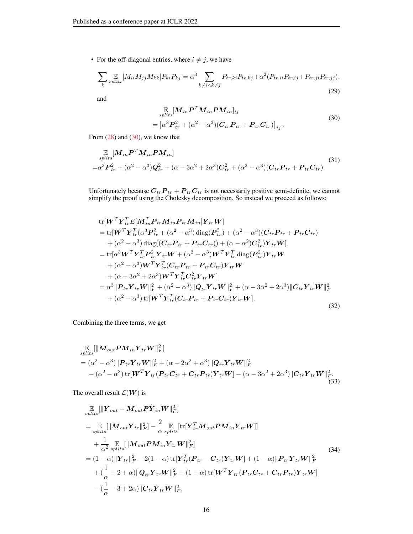• For the off-diagonal entries, where  $i \neq j$ , we have

$$
\sum_{k} \mathbb{E}_{\text{splits}}[M_{ii}M_{jj}M_{kk}]P_{ki}P_{kj} = \alpha^3 \sum_{k \neq i \land k \neq j} P_{tr,ki}P_{tr,kj} + \alpha^2 (P_{tr,ii}P_{tr,ij} + P_{tr,ji}P_{tr,jj}),
$$
\n(29)

and

<span id="page-15-0"></span>
$$
\mathbb{E}_{\text{splits}}[M_{in}P^{T}M_{in}PM_{in}]_{ij}
$$
\n
$$
= [\alpha^{3}P_{tr}^{2} + (\alpha^{2} - \alpha^{3})(C_{tr}P_{tr} + P_{tr}C_{tr})]_{ij}.
$$
\n(30)

From  $(28)$  and  $(30)$ , we know that

$$
\mathbb{E}_{\text{splits}}[M_{in}P^{T}M_{in}PM_{in}]
$$
\n
$$
=\alpha^{3}P_{tr}^{2}+(\alpha^{2}-\alpha^{3})Q_{tr}^{2}+(\alpha-3\alpha^{2}+2\alpha^{3})C_{tr}^{2}+(\alpha^{2}-\alpha^{3})(C_{tr}P_{tr}+P_{tr}C_{tr}).
$$
\n(31)

Unfortunately because  $C_{tr}P_{tr} + P_{tr}C_{tr}$  is not necessarily positive semi-definite, we cannot simplify the proof using the Cholesky decomposition. So instead we proceed as follows:

$$
\begin{split}\n&\text{tr}[\boldsymbol{W}^T \boldsymbol{Y}_{tr}^T E[\boldsymbol{M}_{in}^T \boldsymbol{P}_{tr} \boldsymbol{M}_{in} \boldsymbol{P}_{tr} \boldsymbol{M}_{in}] \boldsymbol{Y}_{tr} \boldsymbol{W}] \\
&= \text{tr}[\boldsymbol{W}^T \boldsymbol{Y}_{tr}^T (\alpha^3 \boldsymbol{P}_{tr}^2 + (\alpha^2 - \alpha^3) \text{diag}(\boldsymbol{P}_{tr}^2) + (\alpha^2 - \alpha^3)(\boldsymbol{C}_{tr} \boldsymbol{P}_{tr} + \boldsymbol{P}_{tr} \boldsymbol{C}_{tr}) \\
&+ (\alpha^2 - \alpha^3) \text{diag}((\boldsymbol{C}_{tr} \boldsymbol{P}_{tr} + \boldsymbol{P}_{tr} \boldsymbol{C}_{tr})) + (\alpha - \alpha^2) \boldsymbol{C}_{tr}^2) \boldsymbol{Y}_{tr} \boldsymbol{W}] \\
&= \text{tr}[\alpha^3 \boldsymbol{W}^T \boldsymbol{Y}_{tr}^T \boldsymbol{P}_{tr}^2 \boldsymbol{Y}_{tr} \boldsymbol{W} + (\alpha^2 - \alpha^3) \boldsymbol{W}^T \boldsymbol{Y}_{tr}^T \text{diag}(\boldsymbol{P}_{tr}^2) \boldsymbol{Y}_{tr} \boldsymbol{W} \\
&+ (\alpha^2 - \alpha^3) \boldsymbol{W}^T \boldsymbol{Y}_{tr}^T (\boldsymbol{C}_{tr} \boldsymbol{P}_{tr} + \boldsymbol{P}_{tr} \boldsymbol{C}_{tr}) \boldsymbol{Y}_{tr} \boldsymbol{W} \\
&+ (\alpha - 3\alpha^2 + 2\alpha^3) \boldsymbol{W}^T \boldsymbol{Y}_{tr}^T \boldsymbol{C}_{tr}^2 \boldsymbol{Y}_{tr} \boldsymbol{W}] \\
&= \alpha^3 \|\boldsymbol{P}_{tr} \boldsymbol{Y}_{tr} \boldsymbol{W}\|_F^2 + (\alpha^2 - \alpha^3) \|\boldsymbol{Q}_{tr} \boldsymbol{Y}_{tr} \boldsymbol{W}\|_F^2 + (\alpha - 3\alpha^2 + 2\alpha^3) \|\boldsymbol{C}_{tr} \boldsymbol{Y}_{tr} \boldsymbol{W}\|_F^2 \\
&+ (\alpha^2 - \alpha^3) \text{tr}[\boldsymbol{W}^T \boldsymbol{Y}_{tr}^T (\boldsymbol{C}_{tr} \boldsymbol{P}_{tr} + \boldsymbol{P}_{tr} \boldsymbol{C}_{tr}) \boldsymbol{Y}_{tr} \boldsymbol{W}].\n\end{split} \tag{32}
$$

Combining the three terms, we get

$$
\mathbb{E}_{splits}[\|M_{out}PM_{in}Y_{tr}W\|_{F}^{2}]
$$
\n
$$
= (\alpha^{2} - \alpha^{3})\|P_{tr}Y_{tr}W\|_{F}^{2} + (\alpha - 2\alpha^{2} + \alpha^{3})\|Q_{tr}Y_{tr}W\|_{F}^{2}
$$
\n
$$
- (\alpha^{2} - \alpha^{3})\text{tr}[W^{T}Y_{tr}(P_{tr}C_{tr} + C_{tr}P_{tr})Y_{tr}W] - (\alpha - 3\alpha^{2} + 2\alpha^{3})\|C_{tr}Y_{tr}W\|_{F}^{2}.
$$
\n(33)

The overall result  $\mathcal{L}(\boldsymbol{W})$  is

$$
\mathbb{E}_{\text{splits}}[\|\mathbf{Y}_{out} - \mathbf{M}_{out}\mathbf{P}\tilde{\mathbf{Y}}_{in}\mathbf{W}\|_{F}^{2}]
$$
\n
$$
= \mathbb{E}_{\text{splits}}[\|\mathbf{M}_{out}\mathbf{Y}_{tr}\|_{F}^{2}] - \frac{2}{\alpha} \mathbb{E}_{\text{splits}}[\text{tr}[\mathbf{Y}_{tr}^{T}\mathbf{M}_{out}\mathbf{P}\mathbf{M}_{in}\mathbf{Y}_{tr}\mathbf{W}]]
$$
\n
$$
+ \frac{1}{\alpha^{2}} \mathbb{E}_{\text{splits}}[\|\mathbf{M}_{out}\mathbf{P}\mathbf{M}_{in}\mathbf{Y}_{tr}\mathbf{W}\|_{F}^{2}]
$$
\n
$$
= (1 - \alpha)\|\mathbf{Y}_{tr}\|_{F}^{2} - 2(1 - \alpha)\,\text{tr}[\mathbf{Y}_{tr}^{T}(\mathbf{P}_{tr} - \mathbf{C}_{tr})\mathbf{Y}_{tr}\mathbf{W}] + (1 - \alpha)\|\mathbf{P}_{tr}\mathbf{Y}_{tr}\mathbf{W}\|_{F}^{2}
$$
\n
$$
+ (\frac{1}{\alpha} - 2 + \alpha)\|\mathbf{Q}_{tr}\mathbf{Y}_{tr}\mathbf{W}\|_{F}^{2} - (1 - \alpha)\,\text{tr}[\mathbf{W}^{T}\mathbf{Y}_{tr}(\mathbf{P}_{tr}\mathbf{C}_{tr} + \mathbf{C}_{tr}\mathbf{P}_{tr})\mathbf{Y}_{tr}\mathbf{W}]
$$
\n
$$
- (\frac{1}{\alpha} - 3 + 2\alpha)\|\mathbf{C}_{tr}\mathbf{Y}_{tr}\mathbf{W}\|_{F}^{2},
$$
\n(34)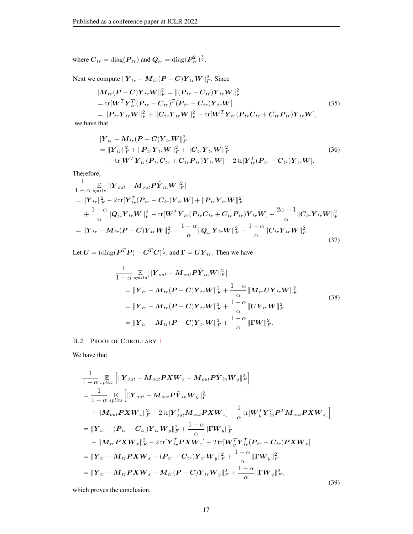where  $\boldsymbol{C}_{tr} = \text{diag}(\boldsymbol{P}_{tr})$  and  $\boldsymbol{Q}_{tr} = \text{diag}(\boldsymbol{P}_{tr}^2)^{\frac{1}{2}}$ .

Next we compute  $\|\boldsymbol{Y}_{tr} - \boldsymbol{M}_{tr}(\boldsymbol{P}-\boldsymbol{C})\boldsymbol{Y}_{tr}\boldsymbol{W}\|_F^2$ . Since

$$
\|M_{tr}(\mathbf{P}-\mathbf{C})\mathbf{Y}_{tr}\mathbf{W}\|_{F}^{2} = \|(\mathbf{P}_{tr}-\mathbf{C}_{tr})\mathbf{Y}_{tr}\mathbf{W}\|_{F}^{2}
$$
\n
$$
= \text{tr}[\mathbf{W}^{T}\mathbf{Y}_{tr}^{T}(\mathbf{P}_{tr}-\mathbf{C}_{tr})^{T}(\mathbf{P}_{tr}-\mathbf{C}_{tr})\mathbf{Y}_{tr}\mathbf{W}]
$$
\n
$$
= \| \mathbf{P}_{tr}\mathbf{Y}_{tr}\mathbf{W}\|_{F}^{2} + \| \mathbf{C}_{tr}\mathbf{Y}_{tr}\mathbf{W}\|_{F}^{2} - \text{tr}[\mathbf{W}^{T}\mathbf{Y}_{tr}(\mathbf{P}_{tr}\mathbf{C}_{tr}+\mathbf{C}_{tr}\mathbf{P}_{tr})\mathbf{Y}_{tr}\mathbf{W}],
$$
\n(35)

we have that

$$
\|Y_{tr} - M_{tr}(P - C)Y_{tr}W\|_F^2
$$
  
=\|Y\_{tr}\|\_F^2 + \|P\_{tr}Y\_{tr}W\|\_F^2 + \|C\_{tr}Y\_{tr}W\|\_F^2  
-\text{tr}[W^T Y\_{tr}(P\_{tr}C\_{tr} + C\_{tr}P\_{tr})Y\_{tr}W] - 2\text{tr}[Y\_{tr}^T(P\_{tr} - C\_{tr})Y\_{tr}W]. (36)

Therefore,

$$
\frac{1}{1-\alpha} \mathop{\mathbb{E}}_{splits} [\|Y_{out} - M_{out} P \tilde{Y}_{in} W\|_{F}^{2}] \n= \|Y_{tr}\|_{F}^{2} - 2 \text{tr}[Y_{tr}^{T} (P_{tr} - C_{tr}) Y_{tr} W] + \|P_{tr} Y_{tr} W\|_{F}^{2} \n+ \frac{1-\alpha}{\alpha} \|Q_{tr} Y_{tr} W\|_{F}^{2} - \text{tr}[W^{T} Y_{tr} (P_{tr} C_{tr} + C_{tr} P_{tr}) Y_{tr} W] + \frac{2\alpha - 1}{\alpha} \|C_{tr} Y_{tr} W\|_{F}^{2} \n= \|Y_{tr} - M_{tr} (P - C) Y_{tr} W\|_{F}^{2} + \frac{1-\alpha}{\alpha} \|Q_{tr} Y_{tr} W\|_{F}^{2} - \frac{1-\alpha}{\alpha} \|C_{tr} Y_{tr} W\|_{F}^{2}.
$$
\n(37)

Let  $\boldsymbol{U} = (\text{diag}(\boldsymbol{P}^T\boldsymbol{P}) - \boldsymbol{C}^T\boldsymbol{C})^{\frac{1}{2}}$ , and  $\boldsymbol{\Gamma} = \boldsymbol{U}\boldsymbol{Y}_{tr}$ . Then we have

$$
\frac{1}{1-\alpha} \mathop{\mathbb{E}}_{splits}[\|\boldsymbol{Y}_{out} - \boldsymbol{M}_{out} \boldsymbol{P} \tilde{\boldsymbol{Y}}_{in} \boldsymbol{W}\|_{F}^{2}]
$$
\n
$$
= \|\boldsymbol{Y}_{tr} - \boldsymbol{M}_{tr} (\boldsymbol{P} - \boldsymbol{C}) \boldsymbol{Y}_{tr} \boldsymbol{W}\|_{F}^{2} + \frac{1-\alpha}{\alpha} \|\boldsymbol{M}_{tr} \boldsymbol{U} \boldsymbol{Y}_{tr} \boldsymbol{W}\|_{F}^{2}
$$
\n
$$
= \|\boldsymbol{Y}_{tr} - \boldsymbol{M}_{tr} (\boldsymbol{P} - \boldsymbol{C}) \boldsymbol{Y}_{tr} \boldsymbol{W}\|_{F}^{2} + \frac{1-\alpha}{\alpha} \|\boldsymbol{U} \boldsymbol{Y}_{tr} \boldsymbol{W}\|_{F}^{2}
$$
\n
$$
= \|\boldsymbol{Y}_{tr} - \boldsymbol{M}_{tr} (\boldsymbol{P} - \boldsymbol{C}) \boldsymbol{Y}_{tr} \boldsymbol{W}\|_{F}^{2} + \frac{1-\alpha}{\alpha} \|\boldsymbol{\Gamma} \boldsymbol{W}\|_{F}^{2}.
$$
\n(38)

# B.2 PROOF OF COROLLARY [1](#page-4-3)

We have that

$$
\frac{1}{1-\alpha} \mathop{\mathbb{E}}_{splits} \left[ \|\boldsymbol{Y}_{out} - \boldsymbol{M}_{out} \boldsymbol{P} \boldsymbol{X} \boldsymbol{W}_{x} - \boldsymbol{M}_{out} \boldsymbol{P} \tilde{\boldsymbol{Y}}_{in} \boldsymbol{W}_{y} \|_{F}^{2} \right]
$$
\n
$$
= \frac{1}{1-\alpha} \mathop{\mathbb{E}}_{splits} \left[ \|\boldsymbol{Y}_{out} - \boldsymbol{M}_{out} \boldsymbol{P} \tilde{\boldsymbol{Y}}_{in} \boldsymbol{W}_{y} \|_{F}^{2} \right]
$$
\n
$$
+ \|\boldsymbol{M}_{out} \boldsymbol{P} \boldsymbol{X} \boldsymbol{W}_{x} \|_{F}^{2} - 2 \operatorname{tr}[\boldsymbol{Y}_{out}^{T} \boldsymbol{M}_{out} \boldsymbol{P} \boldsymbol{X} \boldsymbol{W}_{x}] + \frac{2}{\alpha} \operatorname{tr}[\boldsymbol{W}_{y}^{T} \boldsymbol{Y}_{in}^{T} \boldsymbol{P}^{T} \boldsymbol{M}_{out} \boldsymbol{P} \boldsymbol{X} \boldsymbol{W}_{x}] \right]
$$
\n
$$
= \|\boldsymbol{Y}_{tr} - (\boldsymbol{P}_{tr} - \boldsymbol{C}_{tr}) \boldsymbol{Y}_{tr} \boldsymbol{W}_{y} \|_{F}^{2} + \frac{1-\alpha}{\alpha} \|\boldsymbol{\Gamma} \boldsymbol{W}_{y} \|_{F}^{2}
$$
\n
$$
+ \|\boldsymbol{M}_{tr} \boldsymbol{P} \boldsymbol{X} \boldsymbol{W}_{x} \|_{F}^{2} - 2 \operatorname{tr}[\boldsymbol{Y}_{tr}^{T} \boldsymbol{P} \boldsymbol{X} \boldsymbol{W}_{x}] + 2 \operatorname{tr}[\boldsymbol{W}_{y}^{T} \boldsymbol{Y}_{tr}^{T} (\boldsymbol{P}_{tr} - \boldsymbol{C}_{tr}) \boldsymbol{P} \boldsymbol{X} \boldsymbol{W}_{x}]
$$
\n
$$
= \|\boldsymbol{Y}_{tr} - \boldsymbol{M}_{tr} \boldsymbol{P} \boldsymbol{X} \boldsymbol{W}_{x} - (\boldsymbol{P}_{tr} - \boldsymbol{C}_{tr}) \boldsymbol{Y}_{tr} \boldsymbol{W}_{y} \|_{F}^{2} + \frac{1-\alpha}{\alpha} \|\boldsymbol{\Gamma} \boldsymbol{W}_{y} \|_{F}^{2}
$$
\n
$$
= \|\boldsymbol{Y}_{tr} - \bold
$$

which proves the conclusion.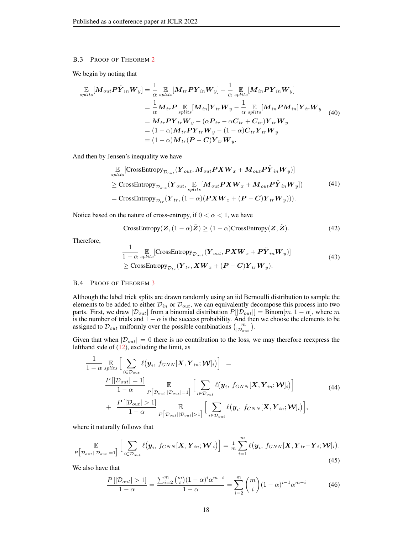# <span id="page-17-0"></span>B.3 PROOF OF THEOREM [2](#page-5-3)

We begin by noting that

$$
\mathbb{E}_{splits}[M_{out}P\tilde{Y}_{in}W_{y}] = \frac{1}{\alpha} \mathbb{E}_{splits}[M_{tr}PY_{in}W_{y}] - \frac{1}{\alpha} \mathbb{E}_{splits}[M_{in}PY_{in}W_{y}] \n= \frac{1}{\alpha} M_{tr}P \mathbb{E}_{splits}[M_{in}]Y_{tr}W_{y} - \frac{1}{\alpha} \mathbb{E}_{splits}[M_{in}PM_{in}]Y_{tr}W_{y} \n= M_{tr}PY_{tr}W_{y} - (\alpha P_{tr} - \alpha C_{tr} + C_{tr})Y_{tr}W_{y} \n= (1 - \alpha) M_{tr}PY_{tr}W_{y} - (1 - \alpha)C_{tr}Y_{tr}W_{y} \n= (1 - \alpha) M_{tr}(P - C)Y_{tr}W_{y}.
$$
\n(40)

And then by Jensen's inequality we have

$$
\mathbb{E}_{\text{splits}}[\text{CrossEntropy}_{\mathcal{D}_{\text{out}}}(Y_{\text{out}}, M_{\text{out}}P X W_x + M_{\text{out}} P \tilde{Y}_{\text{in}} W_y)]
$$
\n
$$
\geq \text{CrossEntropy}_{\mathcal{D}_{\text{out}}}(Y_{\text{out}}, \mathbb{E}_{\text{splits}}[M_{\text{out}} P X W_x + M_{\text{out}} P \tilde{Y}_{\text{in}} W_y])
$$
\n
$$
= \text{CrossEntropy}_{\mathcal{D}_{\text{tr}}}(Y_{\text{tr}}, (1-\alpha)(P X W_x + (P - C) Y_{\text{tr}} W_y))).
$$
\n(41)

Notice based on the nature of cross-entropy, if  $0 < \alpha < 1$ , we have

CrossEntropy
$$
(\mathbf{Z}, (1-\alpha)\tilde{\mathbf{Z}}) \ge (1-\alpha)
$$
CrossEntropy $(\mathbf{Z}, \tilde{\mathbf{Z}})$ . (42)

Therefore,

$$
\frac{1}{1-\alpha} \mathop{\mathbb{E}}_{splits} [\text{CrossEntropy}_{\mathcal{D}_{out}}(\mathbf{Y}_{out}, \mathbf{P} \mathbf{X} \mathbf{W}_x + \mathbf{P} \tilde{\mathbf{Y}}_{in} \mathbf{W}_y)]
$$
\n
$$
\geq \text{CrossEntropy}_{\mathcal{D}_{tr}}(\mathbf{Y}_{tr}, \mathbf{X} \mathbf{W}_x + (\mathbf{P} - \mathbf{C}) \mathbf{Y}_{tr} \mathbf{W}_y).
$$
\n(43)

### <span id="page-17-1"></span>B.4 PROOF OF THEOREM [3](#page-5-4)

Although the label trick splits are drawn randomly using an iid Bernoulli distribution to sample the elements to be added to either  $\mathcal{D}_{in}$  or  $\mathcal{D}_{out}$ , we can equivalently decompose this process into two parts. First, we draw  $|\mathcal{D}_{out}|$  from a binomial distribution  $P[|\mathcal{D}_{out}|] = \text{Binom}[m, 1-\alpha]$ , where m is the number of trials and  $1 - \alpha$  is the success probability. And then we choose the elements to be assigned to  $\mathcal{D}_{out}$  uniformly over the possible combinations  $\binom{m}{|\mathcal{D}_{out}|}$ .

Given that when  $|\mathcal{D}_{out}| = 0$  there is no contribution to the loss, we may therefore reexpress the lefthand side of [\(12\)](#page-5-5), excluding the limit, as

$$
\frac{1}{1-\alpha} \mathop{\mathbb{E}}_{splits}\Big[\sum_{i\in\mathcal{D}_{out}} \ell(\mathbf{y}_i, f_{GNN}[\mathbf{X}, \mathbf{Y}_{in}; \mathbf{W}]_i)\Big] =
$$
\n
$$
\frac{P[|\mathcal{D}_{out}| = 1]}{1-\alpha} \mathop{\mathbb{E}}_{P[\mathcal{D}_{out}||\mathcal{D}_{out}] = 1]} \Big[\sum_{i\in\mathcal{D}_{out}} \ell(\mathbf{y}_i, f_{GNN}[\mathbf{X}, \mathbf{Y}_{in}; \mathbf{W}]_i)\Big] + \frac{P[|\mathcal{D}_{out}| > 1]}{1-\alpha} \mathop{\mathbb{E}}_{P[\mathcal{D}_{out}||\mathcal{D}_{out}] > 1]} \Big[\sum_{i\in\mathcal{D}_{out}} \ell(\mathbf{y}_i, f_{GNN}[\mathbf{X}, \mathbf{Y}_{in}; \mathbf{W}]_i)\Big],
$$
\n(44)

where it naturally follows that

$$
P\left[\mathcal{D}_{out}||\mathcal{D}_{out}|=1\right] \left[\sum_{i\in\mathcal{D}_{out}}\ell(\boldsymbol{y}_{i},\,f_{GNN}[\boldsymbol{X},\boldsymbol{Y}_{in};\boldsymbol{\mathcal{W}}]_{i})\right] = \frac{1}{m}\sum_{i=1}^{m}\ell(\boldsymbol{y}_{i},\,f_{GNN}[\boldsymbol{X},\boldsymbol{Y}_{tr}-\boldsymbol{Y}_{i};\boldsymbol{\mathcal{W}}]_{i}).
$$
\n(45)

We also have that

$$
\frac{P\left[|\mathcal{D}_{out}| > 1\right]}{1-\alpha} = \frac{\sum_{i=2}^{m} \binom{m}{i} (1-\alpha)^i \alpha^{m-i}}{1-\alpha} = \sum_{i=2}^{m} \binom{m}{i} (1-\alpha)^{i-1} \alpha^{m-i} \tag{46}
$$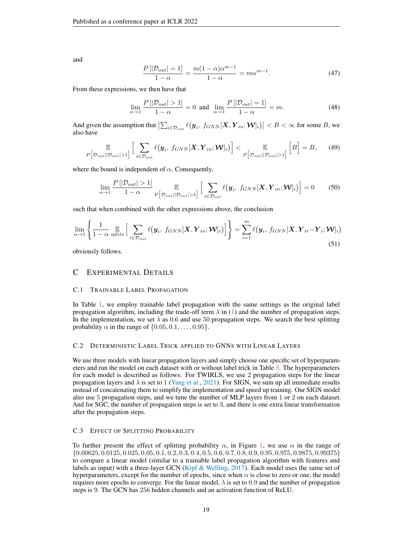<span id="page-18-1"></span>and

$$
\frac{P[|\mathcal{D}_{out}|=1]}{1-\alpha} = \frac{m(1-\alpha)\alpha^{m-1}}{1-\alpha} = m\alpha^{m-1}.
$$
 (47)

From these expressions, we then have that

$$
\lim_{\alpha \to 1} \frac{P[|\mathcal{D}_{out}| > 1]}{1 - \alpha} = 0 \text{ and } \lim_{\alpha \to 1} \frac{P[|\mathcal{D}_{out}| = 1]}{1 - \alpha} = m. \tag{48}
$$

And given the assumption that  $\left|\sum_{i \in \mathcal{D}_{out}} \ell(\mathbf{y}_i, f_{GNN}[\mathbf{X}, \mathbf{Y}_{in}; \mathbf{\mathcal{W}}]_i)\right| < B < \infty$  for some B, we also have

$$
\mathbb{E}\left[\mathcal{D}_{out}||\mathcal{D}_{out}|>1\right] \left[\sum_{i\in\mathcal{D}_{out}}\ell(\boldsymbol{y}_i, f_{GNN}[\boldsymbol{X}, \boldsymbol{Y}_{in}; \boldsymbol{\mathcal{W}}]_i)\right] < \mathbb{E}\left[\mathcal{D}_{out}||\mathcal{D}_{out}|>1\right] \left[B\right] = B,\tag{49}
$$

where the bound is independent of  $\alpha$ . Consequently,

$$
\lim_{\alpha \to 1} \frac{P\left[|\mathcal{D}_{out}| > 1\right]}{1 - \alpha} \mathbb{E}_{P\left[\mathcal{D}_{out}||\mathcal{D}_{out}| > 1\right]} \left[\sum_{i \in \mathcal{D}_{out}} \ell(\mathbf{y}_i, f_{GNN}[\mathbf{X}, \mathbf{Y}_{in}; \mathbf{W}]_i)\right] = 0 \tag{50}
$$

such that when combined with the other expressions above, the conclusion

$$
\lim_{\alpha \to 1} \left\{ \frac{1}{1 - \alpha} \mathop{\mathbb{E}}_{splits} \left[ \sum_{i \in \mathcal{D}_{out}} \ell(\mathbf{y}_i, f_{GNN}[\mathbf{X}, \mathbf{Y}_{in}; \mathbf{W}]_i) \right] \right\} = \sum_{i=1}^m \ell(\mathbf{y}_i, f_{GNN}[\mathbf{X}, \mathbf{Y}_{tr} - \mathbf{Y}_i; \mathbf{W}]_i)
$$
\n(51)

obviously follows.

# <span id="page-18-0"></span>C EXPERIMENTAL DETAILS

### C.1 TRAINABLE LABEL PROPAGATION

In Table [1,](#page-7-0) we employ trainable label propagation with the same settings as the original label propagation algorithm, including the trade-off term  $\lambda$  in [\(1\)](#page-2-3) and the number of propagation steps. In the implementation, we set  $\lambda$  as 0.6 and use 50 propagation steps. We search the best splitting probability  $\alpha$  in the range of  $\{0.05, 0.1, \ldots, 0.95\}$ .

# C.2 DETERMINISTIC LABEL TRICK APPLIED TO GNNS WITH LINEAR LAYERS

We use three models with linear propagation layers and simply choose one specific set of hyperparameters and run the model on each dataset with or without label trick in Table [3.](#page-7-1) The hyperparameters for each model is described as follows. For TWIRLS, we use 2 propagation steps for the linear propagation layers and  $\lambda$  is set to 1 [\(Yang et al.,](#page-10-15) [2021\)](#page-10-15). For SIGN, we sum up all immediate results instead of concatenating them to simplify the implementation and speed up training. Our SIGN model also use 5 propagation steps, and we tune the number of MLP layers from 1 or 2 on each dataset. And for SGC, the number of propagation steps is set to 3, and there is one extra linear transformation after the propagation steps.

# C.3 EFFECT OF SPLITTING PROBABILITY

To further present the effect of splitting probability  $\alpha$ , in Figure [1,](#page-8-0) we use  $\alpha$  in the range of {0.00625, 0.0125, 0.025, 0.05, 0.1, 0.2, 0.3, 0.4, 0.5, 0.6, 0.7, 0.8, 0.9, 0.95, 0.975, 0.9875, 0.99375} to compare a linear model (similar to a trainable label propagation algorithm with features and labels as input) with a three-layer GCN (Kipf  $\&$  Welling, [2017\)](#page-9-1). Each model uses the same set of hyperparameters, except for the number of epochs, since when  $\alpha$  is close to zero or one, the model requires more epochs to converge. For the linear model,  $\lambda$  is set to 0.9 and the number of propagation steps is 9. The GCN has 256 hidden channels and an activation function of ReLU.